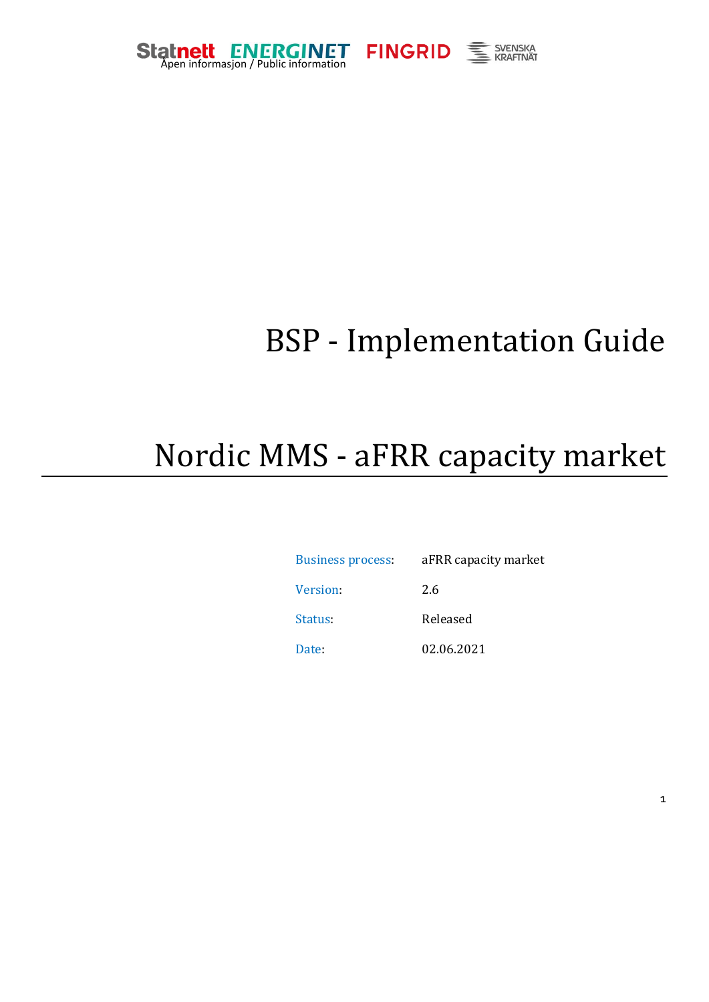





# BSP - Implementation Guide

# Nordic MMS - aFRR capacity market

| <b>Business process:</b> | aFRR capacity market |
|--------------------------|----------------------|
| Version:                 | 2.6                  |
| Status:                  | Released             |
| Date:                    | 02.06.2021           |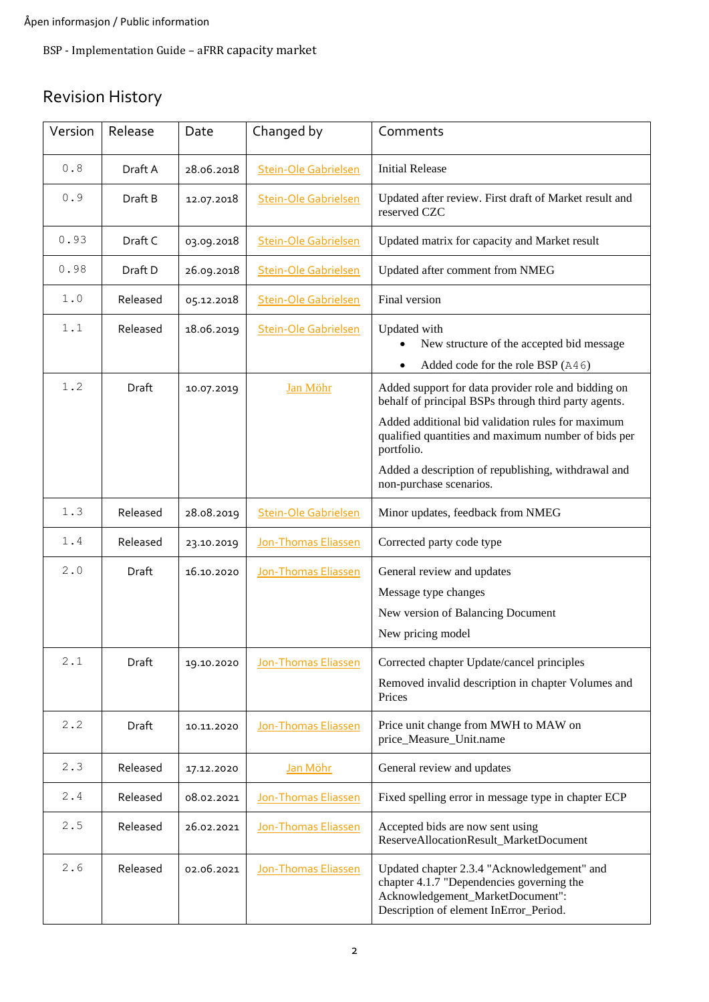# Revision History

| Version | Release  | Date       | Changed by                  | Comments                                                                                                                                                                                                                                                                                     |
|---------|----------|------------|-----------------------------|----------------------------------------------------------------------------------------------------------------------------------------------------------------------------------------------------------------------------------------------------------------------------------------------|
| 0.8     | Draft A  | 28.06.2018 | <b>Stein-Ole Gabrielsen</b> | <b>Initial Release</b>                                                                                                                                                                                                                                                                       |
| 0.9     | Draft B  | 12.07.2018 | <b>Stein-Ole Gabrielsen</b> | Updated after review. First draft of Market result and<br>reserved CZC                                                                                                                                                                                                                       |
| 0.93    | Draft C  | 03.09.2018 | <b>Stein-Ole Gabrielsen</b> | Updated matrix for capacity and Market result                                                                                                                                                                                                                                                |
| 0.98    | Draft D  | 26.09.2018 | <b>Stein-Ole Gabrielsen</b> | Updated after comment from NMEG                                                                                                                                                                                                                                                              |
| 1.0     | Released | 05.12.2018 | <b>Stein-Ole Gabrielsen</b> | Final version                                                                                                                                                                                                                                                                                |
| 1.1     | Released | 18.06.2019 | <b>Stein-Ole Gabrielsen</b> | Updated with<br>New structure of the accepted bid message<br>Added code for the role BSP (A46)                                                                                                                                                                                               |
| 1.2     | Draft    | 10.07.2019 | Jan Möhr                    | Added support for data provider role and bidding on<br>behalf of principal BSPs through third party agents.<br>Added additional bid validation rules for maximum<br>qualified quantities and maximum number of bids per<br>portfolio.<br>Added a description of republishing, withdrawal and |
|         |          |            |                             | non-purchase scenarios.                                                                                                                                                                                                                                                                      |
| 1.3     | Released | 28.08.2019 | Stein-Ole Gabrielsen        | Minor updates, feedback from NMEG                                                                                                                                                                                                                                                            |
| 1.4     | Released | 23.10.2019 | Jon-Thomas Eliassen         | Corrected party code type                                                                                                                                                                                                                                                                    |
| 2.0     | Draft    | 16.10.2020 | <b>Jon-Thomas Eliassen</b>  | General review and updates<br>Message type changes<br>New version of Balancing Document<br>New pricing model                                                                                                                                                                                 |
| 2.1     | Draft    | 19.10.2020 | Jon-Thomas Eliassen         | Corrected chapter Update/cancel principles<br>Removed invalid description in chapter Volumes and<br>Prices                                                                                                                                                                                   |
| 2.2     | Draft    | 10.11.2020 | Jon-Thomas Eliassen         | Price unit change from MWH to MAW on<br>price_Measure_Unit.name                                                                                                                                                                                                                              |
| 2.3     | Released | 17.12.2020 | Jan Möhr                    | General review and updates                                                                                                                                                                                                                                                                   |
| 2.4     | Released | 08.02.2021 | Jon-Thomas Eliassen         | Fixed spelling error in message type in chapter ECP                                                                                                                                                                                                                                          |
| 2.5     | Released | 26.02.2021 | Jon-Thomas Eliassen         | Accepted bids are now sent using<br>ReserveAllocationResult_MarketDocument                                                                                                                                                                                                                   |
| 2.6     | Released | 02.06.2021 | Jon-Thomas Eliassen         | Updated chapter 2.3.4 "Acknowledgement" and<br>chapter 4.1.7 "Dependencies governing the<br>Acknowledgement_MarketDocument":<br>Description of element InError_Period.                                                                                                                       |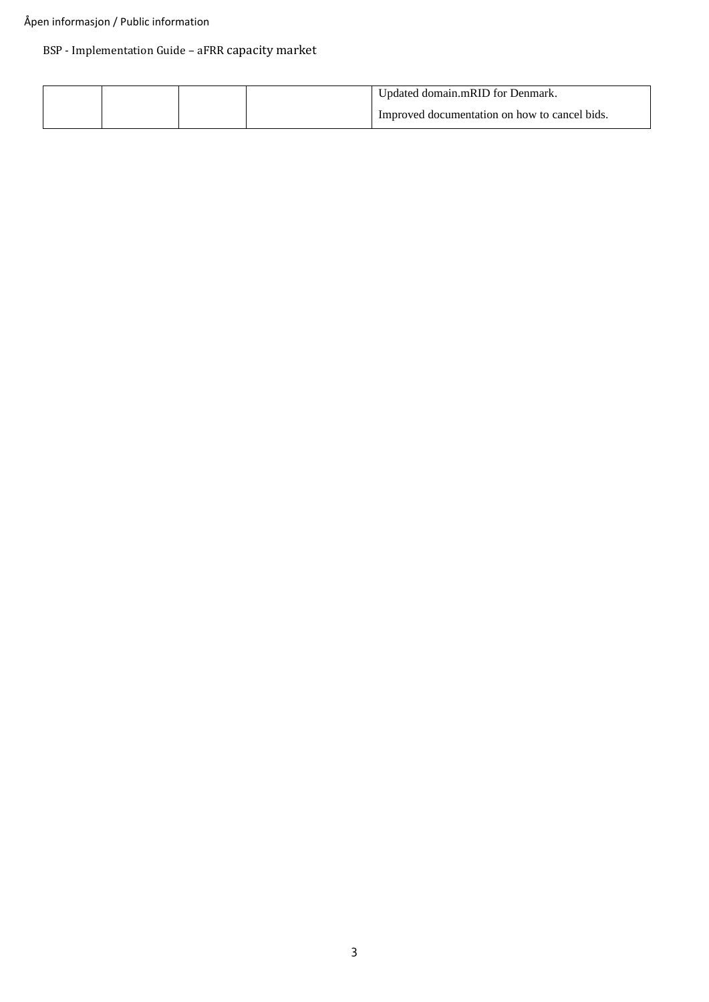#### Åpen informasjon / Public information

### BSP - Implementation Guide – aFRR capacity market

|  |  | Undated domain.mRID for Denmark.              |
|--|--|-----------------------------------------------|
|  |  | Improved documentation on how to cancel bids. |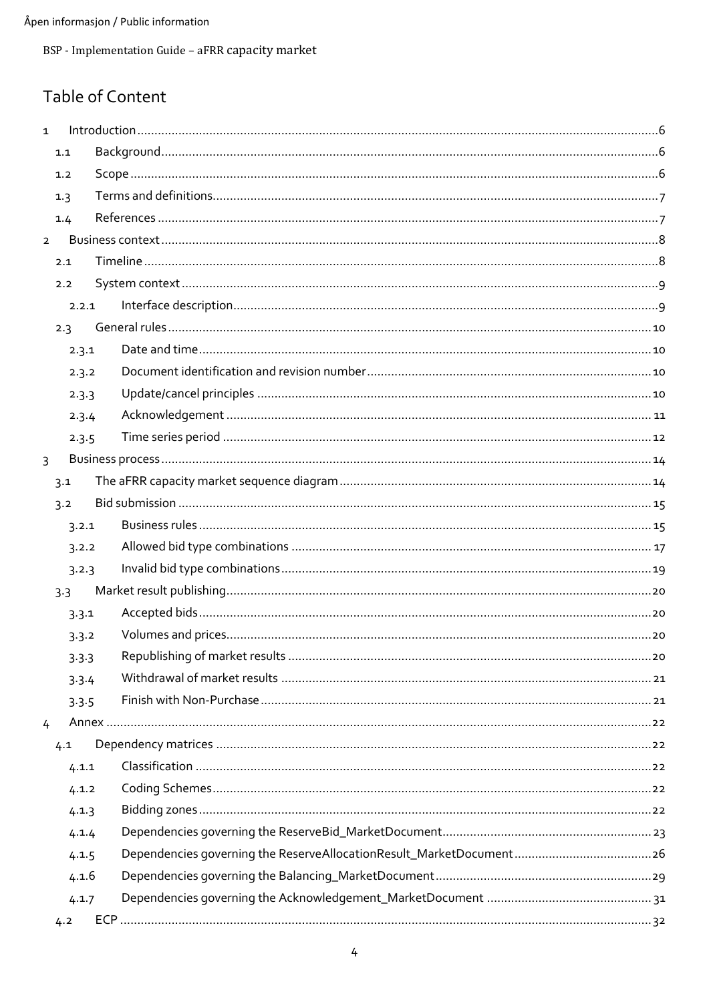# Table of Content

| $\mathbf{1}$   |       |  |  |  |  |  |  |  |  |  |
|----------------|-------|--|--|--|--|--|--|--|--|--|
|                | 1.1   |  |  |  |  |  |  |  |  |  |
|                | 1.2   |  |  |  |  |  |  |  |  |  |
|                | 1.3   |  |  |  |  |  |  |  |  |  |
|                | 1.4   |  |  |  |  |  |  |  |  |  |
| $\overline{2}$ |       |  |  |  |  |  |  |  |  |  |
|                | 2.1   |  |  |  |  |  |  |  |  |  |
|                | 2.2   |  |  |  |  |  |  |  |  |  |
|                | 2.2.1 |  |  |  |  |  |  |  |  |  |
|                | 2.3   |  |  |  |  |  |  |  |  |  |
|                | 2.3.1 |  |  |  |  |  |  |  |  |  |
|                | 2.3.2 |  |  |  |  |  |  |  |  |  |
|                | 2.3.3 |  |  |  |  |  |  |  |  |  |
|                | 2.3.4 |  |  |  |  |  |  |  |  |  |
|                | 2.3.5 |  |  |  |  |  |  |  |  |  |
| $\overline{3}$ |       |  |  |  |  |  |  |  |  |  |
|                | 3.1   |  |  |  |  |  |  |  |  |  |
|                | 3.2   |  |  |  |  |  |  |  |  |  |
|                | 3.2.1 |  |  |  |  |  |  |  |  |  |
|                | 3.2.2 |  |  |  |  |  |  |  |  |  |
|                | 3.2.3 |  |  |  |  |  |  |  |  |  |
|                | 3.3   |  |  |  |  |  |  |  |  |  |
|                | 3.3.1 |  |  |  |  |  |  |  |  |  |
|                | 3.3.2 |  |  |  |  |  |  |  |  |  |
|                | 3.3.3 |  |  |  |  |  |  |  |  |  |
|                | 3.3.4 |  |  |  |  |  |  |  |  |  |
|                | 3.3.5 |  |  |  |  |  |  |  |  |  |
| 4              |       |  |  |  |  |  |  |  |  |  |
|                | 4.1   |  |  |  |  |  |  |  |  |  |
|                | 4.1.1 |  |  |  |  |  |  |  |  |  |
|                | 4.1.2 |  |  |  |  |  |  |  |  |  |
|                | 4.1.3 |  |  |  |  |  |  |  |  |  |
|                | 4.1.4 |  |  |  |  |  |  |  |  |  |
|                | 4.1.5 |  |  |  |  |  |  |  |  |  |
|                | 4.1.6 |  |  |  |  |  |  |  |  |  |
|                | 4.1.7 |  |  |  |  |  |  |  |  |  |
|                | 4.2   |  |  |  |  |  |  |  |  |  |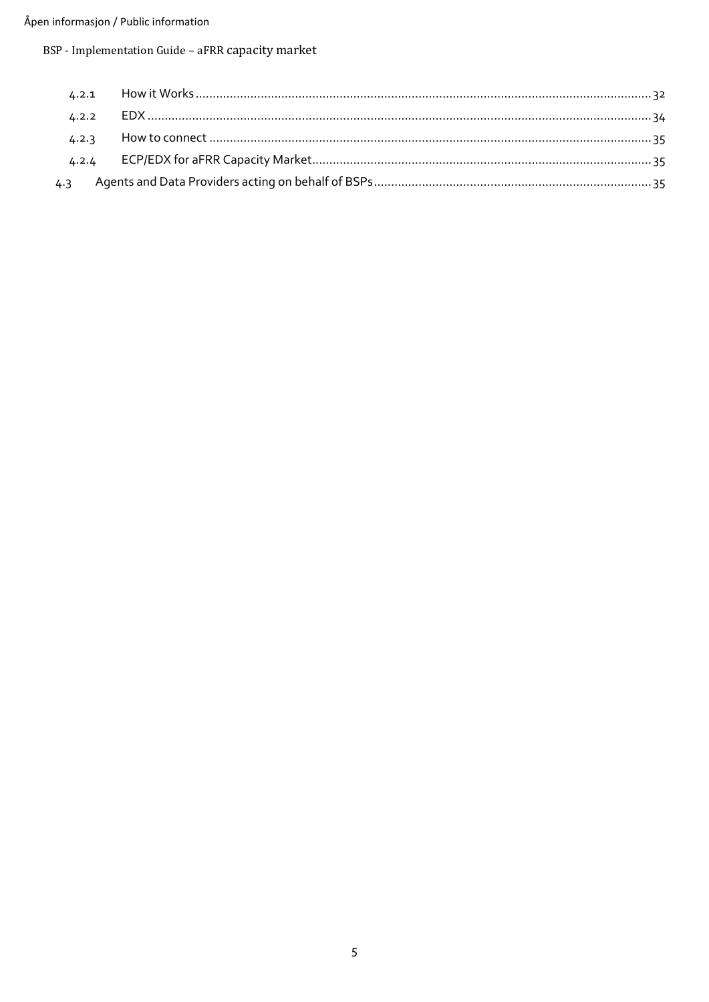#### Åpen informasjon / Public information

BSP - Implementation Guide - aFRR capacity market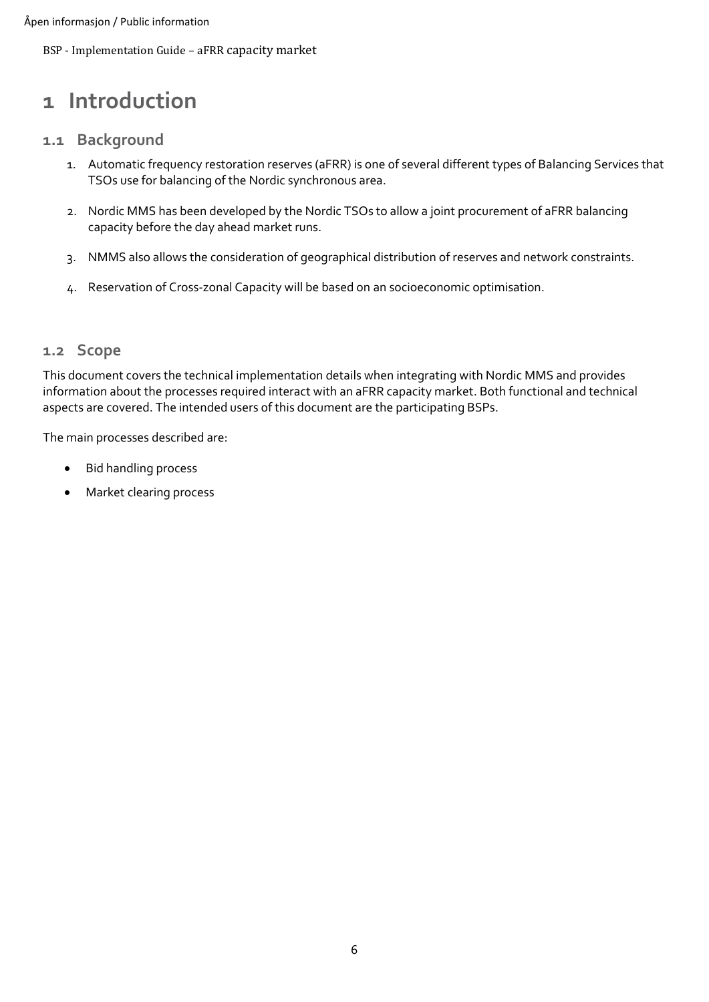# <span id="page-5-0"></span>**1 Introduction**

### <span id="page-5-1"></span>**1.1 Background**

- 1. Automatic frequency restoration reserves (aFRR) is one of several different types of Balancing Services that TSOs use for balancing of the Nordic synchronous area.
- 2. Nordic MMS has been developed by the Nordic TSOs to allow a joint procurement of aFRR balancing capacity before the day ahead market runs.
- 3. NMMS also allows the consideration of geographical distribution of reserves and network constraints.
- 4. Reservation of Cross-zonal Capacity will be based on an socioeconomic optimisation.

### <span id="page-5-2"></span>**1.2 Scope**

This document covers the technical implementation details when integrating with Nordic MMS and provides information about the processes required interact with an aFRR capacity market. Both functional and technical aspects are covered. The intended users of this document are the participating BSPs.

The main processes described are:

- Bid handling process
- Market clearing process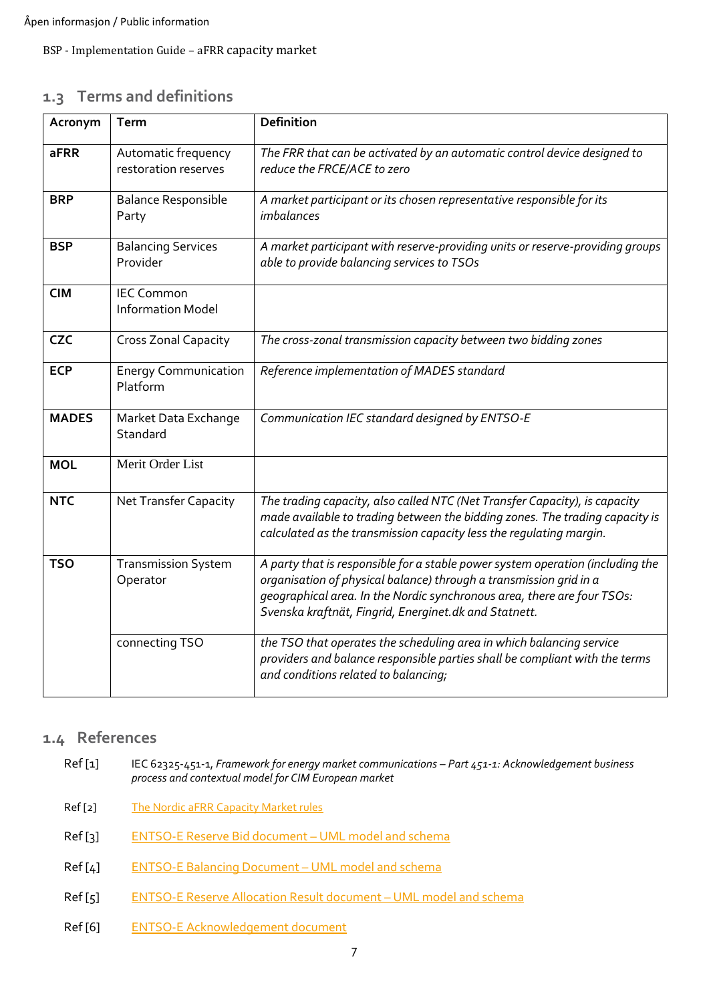# <span id="page-6-0"></span>**1.3 Terms and definitions**

| Acronym      | <b>Term</b>                                   | <b>Definition</b>                                                                                                                                                                                                                                                                        |
|--------------|-----------------------------------------------|------------------------------------------------------------------------------------------------------------------------------------------------------------------------------------------------------------------------------------------------------------------------------------------|
| <b>aFRR</b>  | Automatic frequency<br>restoration reserves   | The FRR that can be activated by an automatic control device designed to<br>reduce the FRCE/ACE to zero                                                                                                                                                                                  |
| <b>BRP</b>   | <b>Balance Responsible</b><br>Party           | A market participant or its chosen representative responsible for its<br><i>imbalances</i>                                                                                                                                                                                               |
| <b>BSP</b>   | <b>Balancing Services</b><br>Provider         | A market participant with reserve-providing units or reserve-providing groups<br>able to provide balancing services to TSOs                                                                                                                                                              |
| <b>CIM</b>   | <b>IEC Common</b><br><b>Information Model</b> |                                                                                                                                                                                                                                                                                          |
| <b>CZC</b>   | Cross Zonal Capacity                          | The cross-zonal transmission capacity between two bidding zones                                                                                                                                                                                                                          |
| <b>ECP</b>   | <b>Energy Communication</b><br>Platform       | Reference implementation of MADES standard                                                                                                                                                                                                                                               |
| <b>MADES</b> | Market Data Exchange<br>Standard              | Communication IEC standard designed by ENTSO-E                                                                                                                                                                                                                                           |
| <b>MOL</b>   | Merit Order List                              |                                                                                                                                                                                                                                                                                          |
| <b>NTC</b>   | <b>Net Transfer Capacity</b>                  | The trading capacity, also called NTC (Net Transfer Capacity), is capacity<br>made available to trading between the bidding zones. The trading capacity is<br>calculated as the transmission capacity less the regulating margin.                                                        |
| <b>TSO</b>   | <b>Transmission System</b><br>Operator        | A party that is responsible for a stable power system operation (including the<br>organisation of physical balance) through a transmission grid in a<br>geographical area. In the Nordic synchronous area, there are four TSOs:<br>Svenska kraftnät, Fingrid, Energinet.dk and Statnett. |
|              | connecting TSO                                | the TSO that operates the scheduling area in which balancing service<br>providers and balance responsible parties shall be compliant with the terms<br>and conditions related to balancing;                                                                                              |

## <span id="page-6-1"></span>**1.4 References**

- Ref [1] IEC 62325-451-1, *Framework for energy market communications – Part 451-1: Acknowledgement business process and contextual model for CIM European market*
- <span id="page-6-4"></span>Ref [2] [The Nordic aFRR Capacity Market rules](https://nordicbalancingmodel.net/acer-decision-specifies-rules-for-the-common-nordic-afrr-capacity-market/)
- <span id="page-6-5"></span>Ref [3] [ENTSO-E Reserve Bid document](https://docstore.entsoe.eu/Documents/EDI/Library/cim_based/schema/Reserve_bid_document_UML_model_and_schema_v1.1.pdf) – UML model and schema
- <span id="page-6-6"></span>Ref [4] [ENTSO-E Balancing Document](https://www.entsoe.eu/Documents/EDI/Library/eb-pig/Balancing_document_UML_model_and_schema_v2.2.pdf) – UML model and schema
- <span id="page-6-2"></span>Ref [5] [ENTSO-E Reserve Allocation](https://www.entsoe.eu/Documents/EDI/Library/cim_based/schema/Reserve%20allocation%20result%20document%20uml%20model%20and%20schema%20v1.0.pdf) Result document – UML model and schema
- <span id="page-6-3"></span>Ref [6] [ENTSO-E Acknowledgement document](https://eepublicdownloads.azureedge.net/clean-documents/EDI/Library/cim_based/schema/Acknowledgement_document_uml_model_and_schema_v1.0.pdf)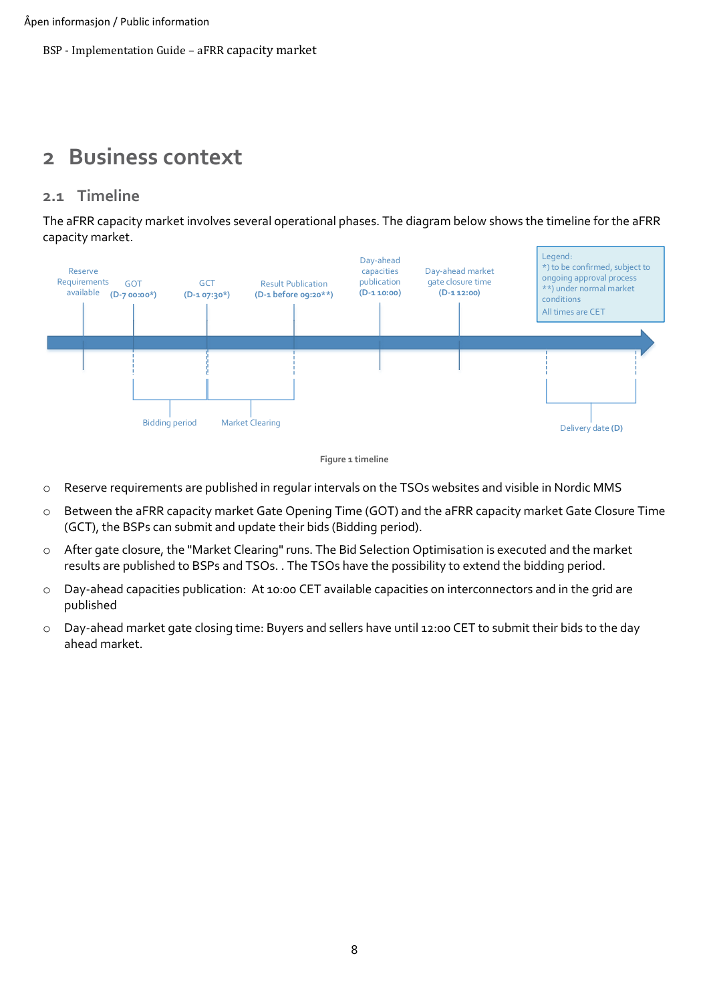# <span id="page-7-0"></span>**2 Business context**

### <span id="page-7-1"></span>**2.1 Timeline**

The aFRR capacity market involves several operational phases. The diagram below shows the timeline for the aFRR capacity market.





- o Reserve requirements are published in regular intervals on the TSOs websites and visible in Nordic MMS
- o Between the aFRR capacity market Gate Opening Time (GOT) and the aFRR capacity market Gate Closure Time (GCT), the BSPs can submit and update their bids (Bidding period).
- o After gate closure, the "Market Clearing" runs. The Bid Selection Optimisation is executed and the market results are published to BSPs and TSOs. . The TSOs have the possibility to extend the bidding period.
- o Day-ahead capacities publication: At 10:00 CET available capacities on interconnectors and in the grid are published
- o Day-ahead market gate closing time: Buyers and sellers have until 12:00 CET to submit their bids to the day ahead market.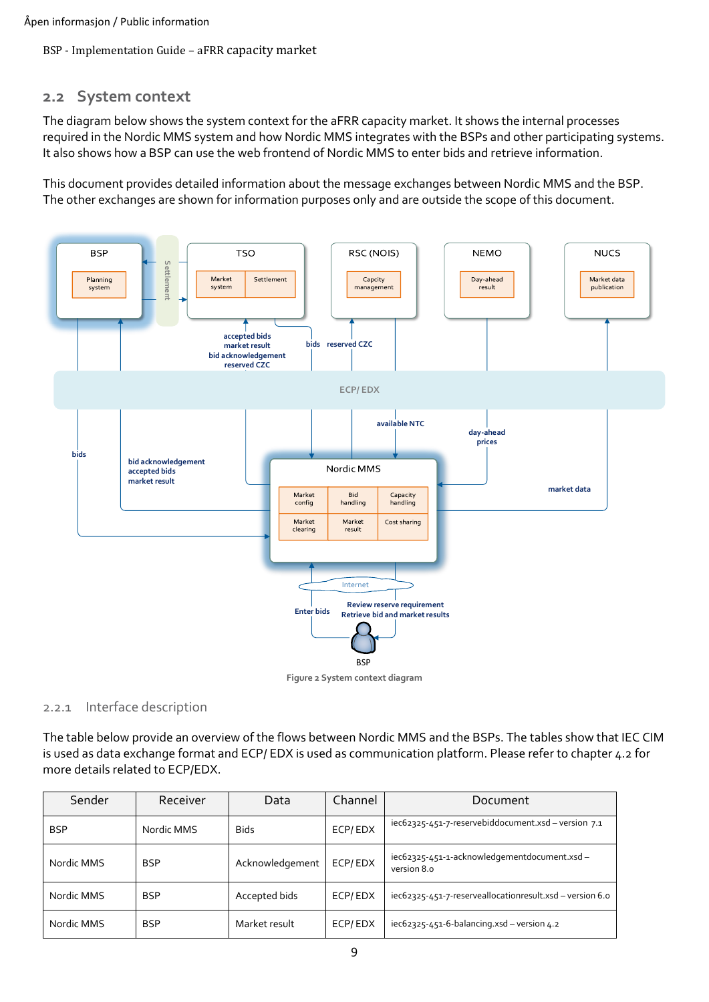### <span id="page-8-0"></span>**2.2 System context**

The diagram below shows the system context for the aFRR capacity market. It shows the internal processes required in the Nordic MMS system and how Nordic MMS integrates with the BSPs and other participating systems. It also shows how a BSP can use the web frontend of Nordic MMS to enter bids and retrieve information.

This document provides detailed information about the message exchanges between Nordic MMS and the BSP. The other exchanges are shown for information purposes only and are outside the scope of this document.



**Figure 2 System context diagram**

#### <span id="page-8-1"></span>2.2.1 Interface description

The table below provide an overview of the flows between Nordic MMS and the BSPs. The tables show that IEC CIM is used as data exchange format and ECP/ EDX is used as communication platform. Please refer to chapter [4.2](#page-31-0) for more details related to ECP/EDX.

| Sender     | Receiver   | Data            | Channel | Document                                                   |
|------------|------------|-----------------|---------|------------------------------------------------------------|
| <b>BSP</b> | Nordic MMS | <b>Bids</b>     | ECP/EDX | iec62325-451-7-reservebiddocument.xsd - version 7.1        |
| Nordic MMS | <b>BSP</b> | Acknowledgement | ECP/EDX | iec62325-451-1-acknowledgementdocument.xsd-<br>version 8.0 |
| Nordic MMS | <b>BSP</b> | Accepted bids   | ECP/EDX | iec62325-451-7-reserveallocationresult.xsd - version 6.0   |
| Nordic MMS | <b>BSP</b> | Market result   | ECP/EDX | $iec62325-451-6-balancing.xsd-version 4.2$                 |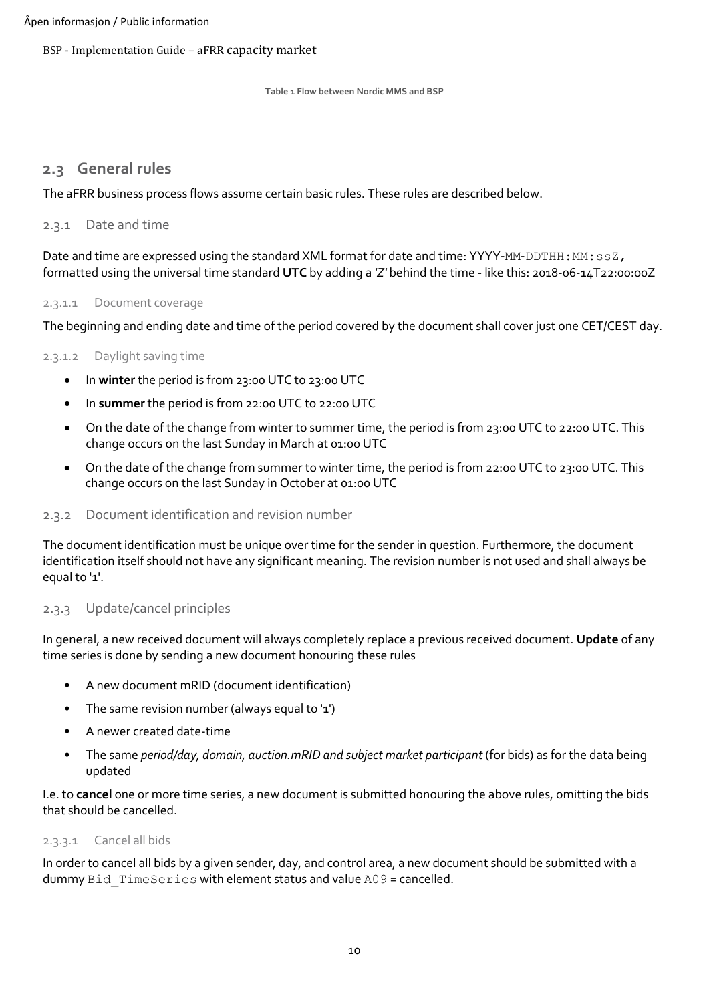**Table 1 Flow between Nordic MMS and BSP**

#### <span id="page-9-0"></span>**2.3 General rules**

The aFRR business process flows assume certain basic rules. These rules are described below.

#### <span id="page-9-1"></span>2.3.1 Date and time

Date and time are expressed using the standard XML format for date and time: YYYY-MM-DDTHH: MM: ssZ, formatted using the universal time standard **UTC** by adding a *'Z'* behind the time - like this: 2018-06-14T22:00:00Z

#### 2.3.1.1 Document coverage

The beginning and ending date and time of the period covered by the document shall cover just one CET/CEST day.

#### 2.3.1.2 Daylight saving time

- In **winter** the period is from 23:00 UTC to 23:00 UTC
- In **summer** the period is from 22:00 UTC to 22:00 UTC
- On the date of the change from winter to summer time, the period is from 23:00 UTC to 22:00 UTC. This change occurs on the last Sunday in March at 01:00 UTC
- On the date of the change from summer to winter time, the period is from 22:00 UTC to 23:00 UTC. This change occurs on the last Sunday in October at 01:00 UTC

#### <span id="page-9-2"></span>2.3.2 Document identification and revision number

The document identification must be unique over time for the sender in question. Furthermore, the document identification itself should not have any significant meaning. The revision number is not used and shall always be equal to '1'.

#### <span id="page-9-3"></span>2.3.3 Update/cancel principles

In general, a new received document will always completely replace a previous received document. **Update** of any time series is done by sending a new document honouring these rules

- A new document mRID (document identification)
- The same revision number (always equal to '1')
- A newer created date-time
- The same *period/day, domain, auction.mRID and subject market participant* (for bids) as for the data being updated

I.e. to **cancel** one or more time series, a new document is submitted honouring the above rules, omitting the bids that should be cancelled.

#### 2.3.3.1 Cancel all bids

In order to cancel all bids by a given sender, day, and control area, a new document should be submitted with a dummy Bid TimeSeries with element status and value A09 = cancelled.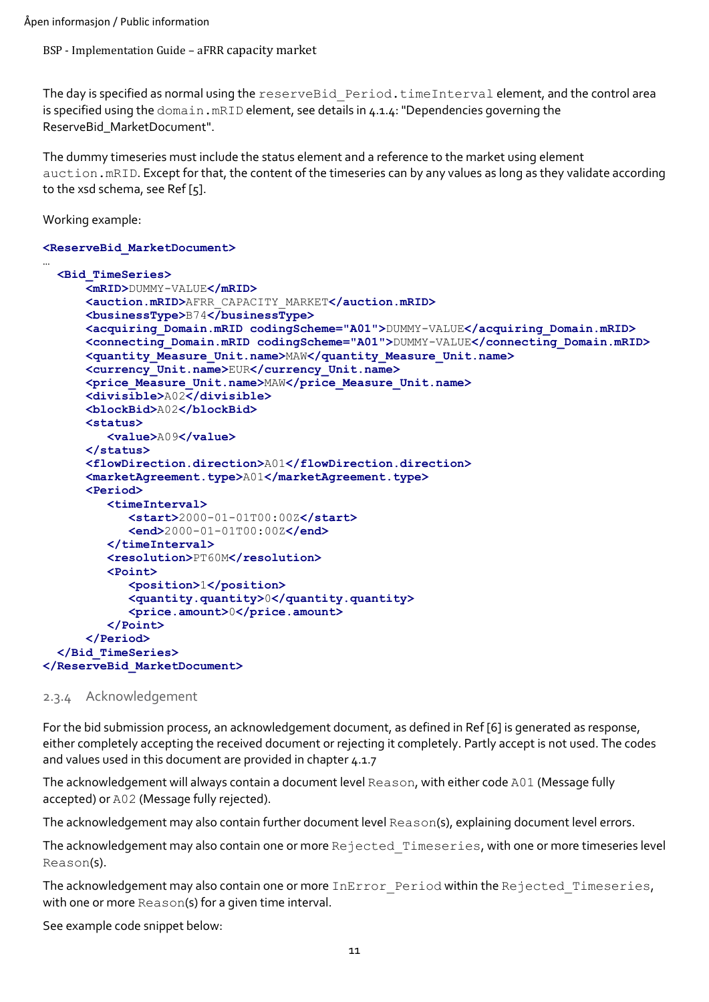The day is specified as normal using the reserveBid Period.timeInterval element, and the control area is specified using the domain.mRID element, see details in [4.1.4:](#page-22-0) "Dependencies governing the [ReserveBid\\_MarketDocument"](#page-22-0).

The dummy timeseries must include the status element and a reference to the market using element auction.mRID. Except for that, the content of the timeseries can by any values as long as they validate according to the xsd schema, see [Ref \[5\].](#page-6-2)

Working example:

#### **<ReserveBid\_MarketDocument>** …

```
 <Bid_TimeSeries>
       <mRID>DUMMY-VALUE</mRID>
       <auction.mRID>AFRR_CAPACITY_MARKET</auction.mRID>
       <businessType>B74</businessType>
       <acquiring_Domain.mRID codingScheme="A01">DUMMY-VALUE</acquiring_Domain.mRID>
       <connecting_Domain.mRID codingScheme="A01">DUMMY-VALUE</connecting_Domain.mRID>
       <quantity_Measure_Unit.name>MAW</quantity_Measure_Unit.name>
       <currency_Unit.name>EUR</currency_Unit.name>
       <price_Measure_Unit.name>MAW</price_Measure_Unit.name>
       <divisible>A02</divisible>
       <blockBid>A02</blockBid>
       <status>
          <value>A09</value>
       </status>
       <flowDirection.direction>A01</flowDirection.direction>
       <marketAgreement.type>A01</marketAgreement.type>
       <Period>
          <timeInterval>
             <start>2000-01-01T00:00Z</start>
             <end>2000-01-01T00:00Z</end>
          </timeInterval>
          <resolution>PT60M</resolution>
          <Point>
             <position>1</position>
             <quantity.quantity>0</quantity.quantity>
             <price.amount>0</price.amount>
          </Point>
       </Period>
   </Bid_TimeSeries>
</ReserveBid_MarketDocument>
```
#### <span id="page-10-0"></span>2.3.4 Acknowledgement

For the bid submission process, an acknowledgement document, as defined in [Ref \[6\]](#page-6-3) is generated as response, either completely accepting the received document or rejecting it completely. Partly accept is not used. The codes and values used in this document are provided in chapter [4.1.7](#page-30-0)

The acknowledgement will always contain a document level Reason, with either code A01 (Message fully accepted) or A02 (Message fully rejected).

The acknowledgement may also contain further document level Reason(s), explaining document level errors.

The acknowledgement may also contain one or more Rejected Timeseries, with one or more timeseries level Reason(s).

The acknowledgement may also contain one or more InError Period within the Rejected Timeseries, with one or more Reason(s) for a given time interval.

See example code snippet below: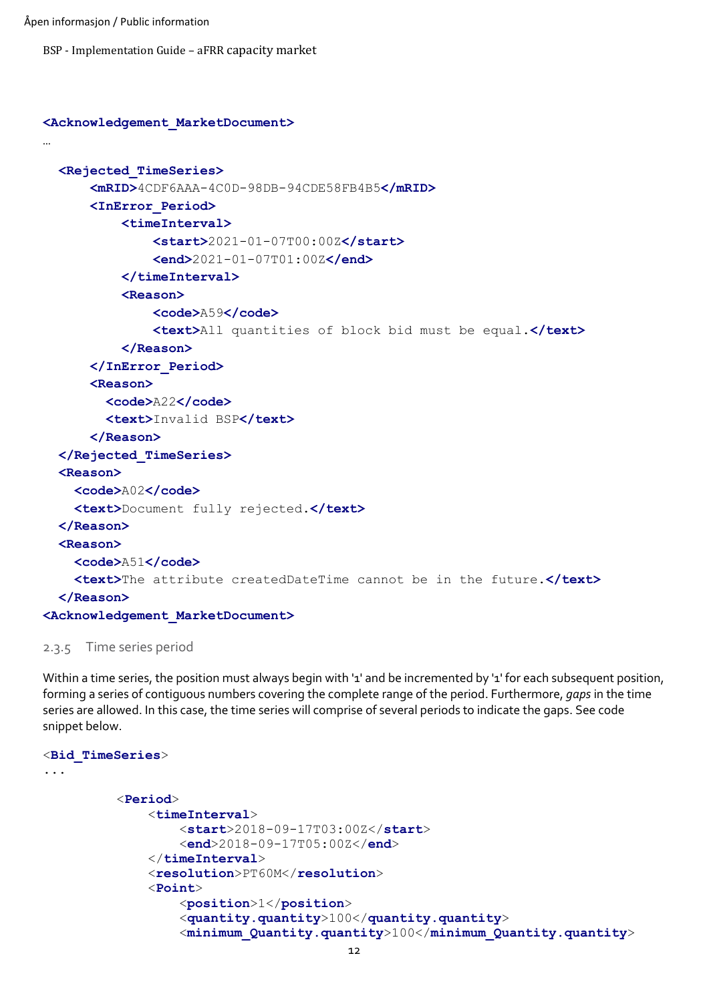Åpen informasjon / Public information

BSP - Implementation Guide – aFRR capacity market

```
<Acknowledgement_MarketDocument>
…
   <Rejected_TimeSeries>
        <mRID>4CDF6AAA-4C0D-98DB-94CDE58FB4B5</mRID>
        <InError_Period>
             <timeInterval>
                  <start>2021-01-07T00:00Z</start>
                  <end>2021-01-07T01:00Z</end>
             </timeInterval>
             <Reason>
                  <code>A59</code>
                  <text>All quantities of block bid must be equal.</text>
             </Reason>
        </InError_Period>
        <Reason>
         \text{\textdegree}A22</code>
          <text>Invalid BSP</text>
        </Reason>
   </Rejected_TimeSeries>
   <Reason>
     \text{\texttt{Code}\texttt{&gt{\text{A02}\text{&lt}/color}} <text>Document fully rejected.</text>
   </Reason>
   <Reason>
    < \text{code}\times\text{A51}\leq\text{code}\times\text{code}} <text>The attribute createdDateTime cannot be in the future.</text>
   </Reason>
<Acknowledgement_MarketDocument>
```
<span id="page-11-0"></span>2.3.5 Time series period

Within a time series, the position must always begin with '1' and be incremented by '1' for each subsequent position, forming a series of contiguous numbers covering the complete range of the period. Furthermore, *gaps* in the time series are allowed. In this case, the time series will comprise of several periods to indicate the gaps. See code snippet below.

```
<Bid_TimeSeries>
...
           <Period>
               <timeInterval>
                   <start>2018-09-17T03:00Z</start>
                   <end>2018-09-17T05:00Z</end>
               </timeInterval>
               <resolution>PT60M</resolution>
               <Point>
                   <position>1</position>
                   <quantity.quantity>100</quantity.quantity>
                   <minimum_Quantity.quantity>100</minimum_Quantity.quantity>
```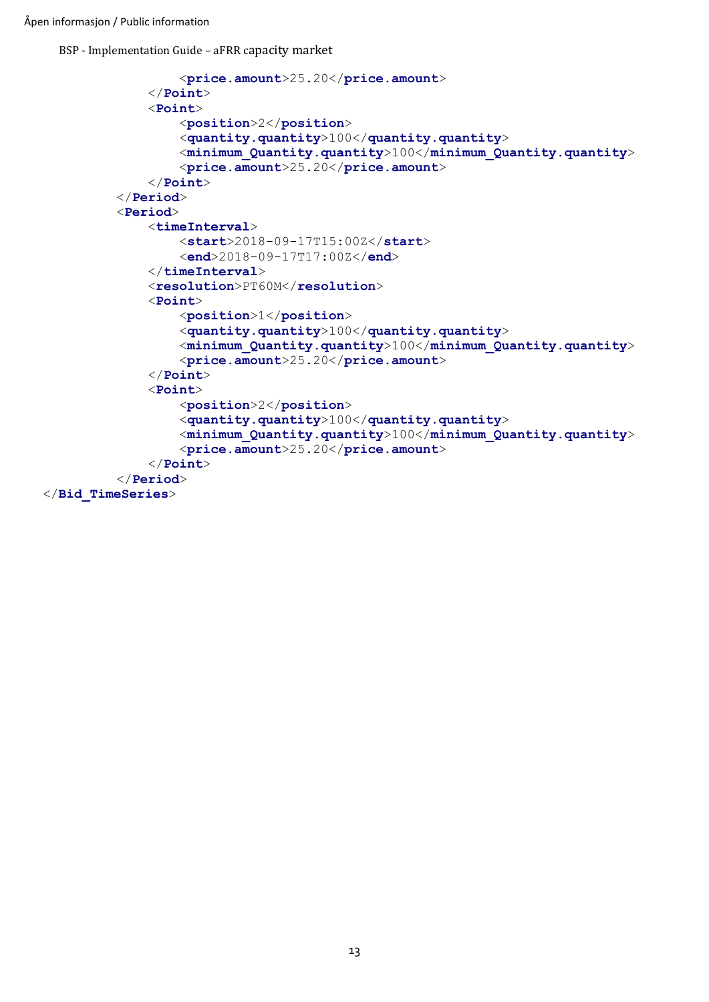Åpen informasjon / Public information

BSP - Implementation Guide – aFRR capacity market

```
 <price.amount>25.20</price.amount>
               </Point>
               <Point>
                   <position>2</position>
                   <quantity.quantity>100</quantity.quantity>
                   <minimum_Quantity.quantity>100</minimum_Quantity.quantity>
                   <price.amount>25.20</price.amount>
               </Point>
           </Period>
           <Period>
               <timeInterval>
                   <start>2018-09-17T15:00Z</start>
                   <end>2018-09-17T17:00Z</end>
               </timeInterval>
               <resolution>PT60M</resolution>
               <Point>
                   <position>1</position>
                   <quantity.quantity>100</quantity.quantity>
                   <minimum_Quantity.quantity>100</minimum_Quantity.quantity>
                   <price.amount>25.20</price.amount>
               </Point>
               <Point>
                   <position>2</position>
                   <quantity.quantity>100</quantity.quantity>
                   <minimum_Quantity.quantity>100</minimum_Quantity.quantity>
                   <price.amount>25.20</price.amount>
               </Point>
           </Period>
</Bid_TimeSeries>
```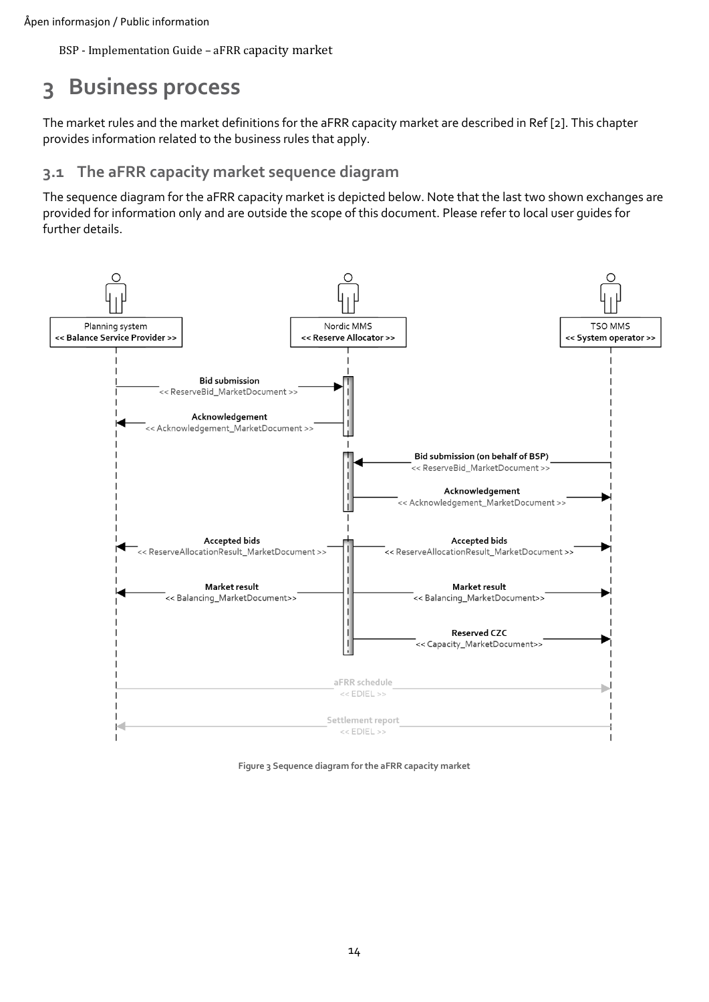# <span id="page-13-0"></span>**3 Business process**

The market rules and the market definitions for the aFRR capacity market are described i[n Ref \[2\].](#page-6-4) This chapter provides information related to the business rules that apply.

## <span id="page-13-1"></span>**3.1 The aFRR capacity market sequence diagram**

The sequence diagram for the aFRR capacity market is depicted below. Note that the last two shown exchanges are provided for information only and are outside the scope of this document. Please refer to local user guides for further details.



**Figure 3 Sequence diagram for the aFRR capacity market**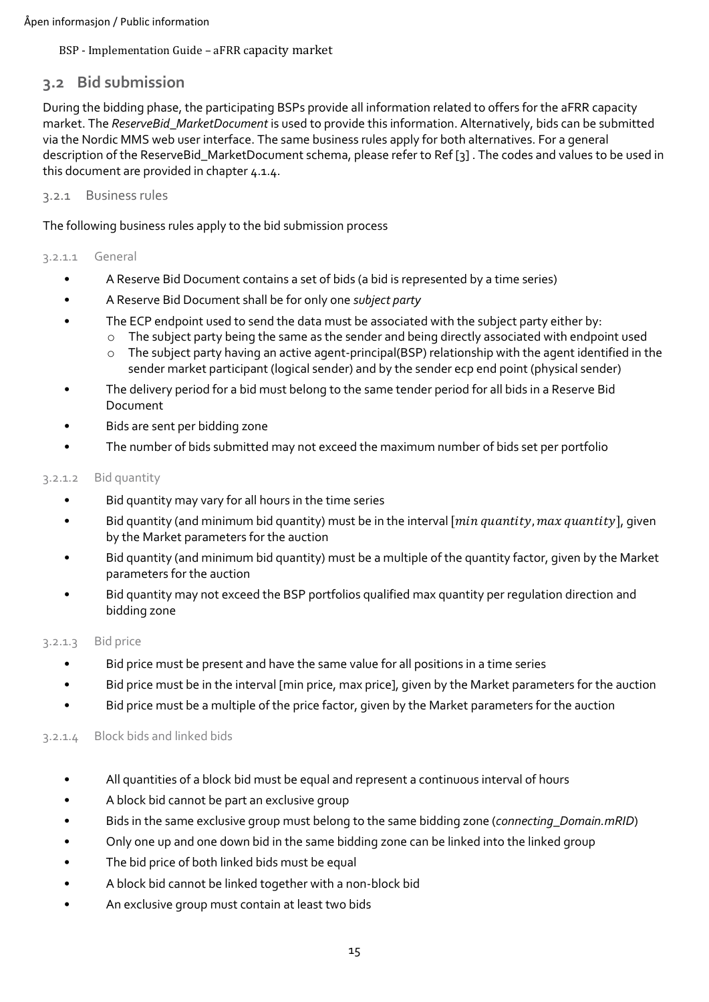## <span id="page-14-0"></span>**3.2 Bid submission**

During the bidding phase, the participating BSPs provide all information related to offers for the aFRR capacity market. The *ReserveBid\_MarketDocument* is used to provide this information. Alternatively, bids can be submitted via the Nordic MMS web user interface. The same business rules apply for both alternatives. For a general description of the ReserveBid\_MarketDocument schema, please refer t[o Ref \[3\]](#page-6-5) . The codes and values to be used in this document are provided in chapter [4.1.4.](#page-22-0)

<span id="page-14-1"></span>3.2.1 Business rules

The following business rules apply to the bid submission process

#### 3.2.1.1 General

- A Reserve Bid Document contains a set of bids (a bid is represented by a time series)
- A Reserve Bid Document shall be for only one *subject party*
- The ECP endpoint used to send the data must be associated with the subject party either by:
	- $\circ$  The subject party being the same as the sender and being directly associated with endpoint used
	- o The subject party having an active agent-principal(BSP) relationship with the agent identified in the sender market participant (logical sender) and by the sender ecp end point (physical sender)
- The delivery period for a bid must belong to the same tender period for all bids in a Reserve Bid Document
- Bids are sent per bidding zone
- The number of bids submitted may not exceed the maximum number of bids set per portfolio

#### 3.2.1.2 Bid quantity

- Bid quantity may vary for all hours in the time series
- Bid quantity (and minimum bid quantity) must be in the interval  $[\min$  quantity,  $\max$  quantity], given by the Market parameters for the auction
- Bid quantity (and minimum bid quantity) must be a multiple of the quantity factor, given by the Market parameters for the auction
- Bid quantity may not exceed the BSP portfolios qualified max quantity per regulation direction and bidding zone

#### 3.2.1.3 Bid price

- Bid price must be present and have the same value for all positions in a time series
- Bid price must be in the interval [min price, max price], given by the Market parameters for the auction
- Bid price must be a multiple of the price factor, given by the Market parameters for the auction

#### 3.2.1.4 Block bids and linked bids

- All quantities of a block bid must be equal and represent a continuous interval of hours
- A block bid cannot be part an exclusive group
- Bids in the same exclusive group must belong to the same bidding zone (*connecting\_Domain.mRID*)
- Only one up and one down bid in the same bidding zone can be linked into the linked group
- The bid price of both linked bids must be equal
- A block bid cannot be linked together with a non-block bid
- An exclusive group must contain at least two bids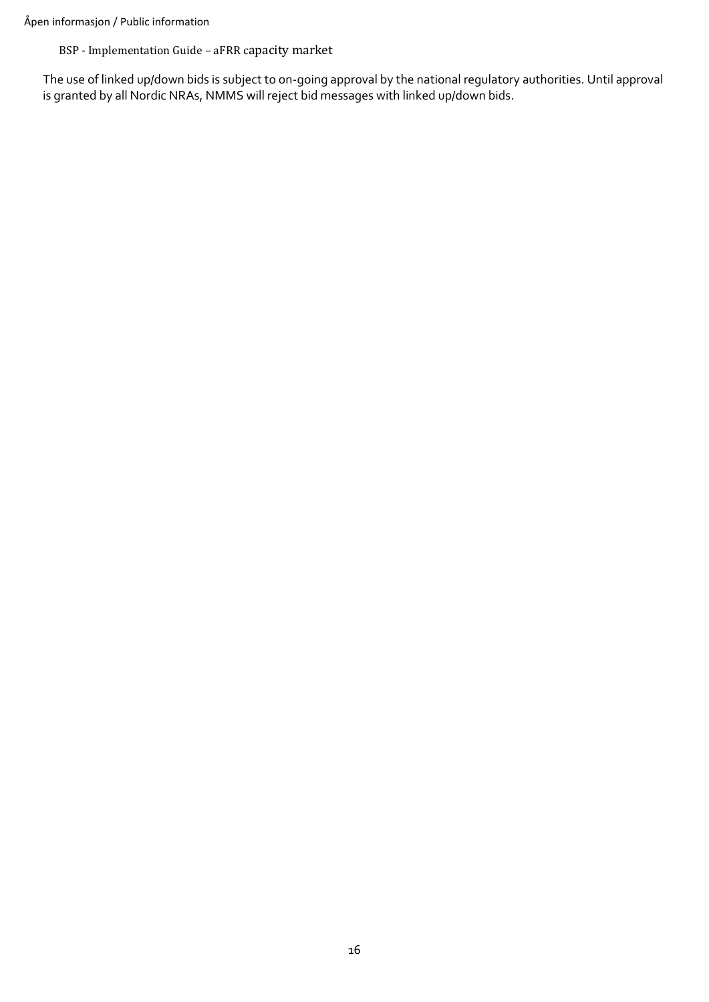The use of linked up/down bids is subject to on-going approval by the national regulatory authorities. Until approval is granted by all Nordic NRAs, NMMS will reject bid messages with linked up/down bids.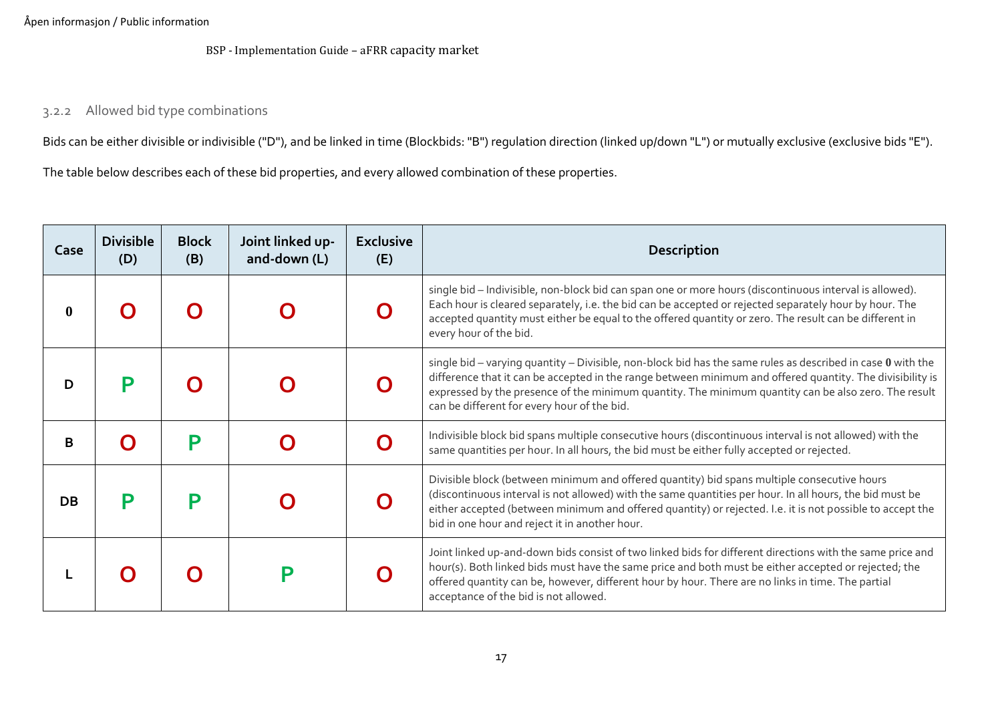#### 3.2.2 Allowed bid type combinations

Bids can be either divisible or indivisible ("D"), and be linked in time (Blockbids: "B") regulation direction (linked up/down "L") or mutually exclusive (exclusive bids "E").

The table below describes each of these bid properties, and every allowed combination of these properties.

<span id="page-16-0"></span>

| Case | <b>Divisible</b><br>(D) | <b>Block</b><br>(B) | Joint linked up-<br>and-down (L) | <b>Exclusive</b><br>(E) | <b>Description</b>                                                                                                                                                                                                                                                                                                                                                                |
|------|-------------------------|---------------------|----------------------------------|-------------------------|-----------------------------------------------------------------------------------------------------------------------------------------------------------------------------------------------------------------------------------------------------------------------------------------------------------------------------------------------------------------------------------|
| 0    |                         |                     |                                  |                         | single bid - Indivisible, non-block bid can span one or more hours (discontinuous interval is allowed).<br>Each hour is cleared separately, i.e. the bid can be accepted or rejected separately hour by hour. The<br>accepted quantity must either be equal to the offered quantity or zero. The result can be different in<br>every hour of the bid.                             |
| D    |                         |                     |                                  |                         | single bid – varying quantity – Divisible, non-block bid has the same rules as described in case $0$ with the<br>difference that it can be accepted in the range between minimum and offered quantity. The divisibility is<br>expressed by the presence of the minimum quantity. The minimum quantity can be also zero. The result<br>can be different for every hour of the bid. |
| B    |                         | P                   |                                  |                         | Indivisible block bid spans multiple consecutive hours (discontinuous interval is not allowed) with the<br>same quantities per hour. In all hours, the bid must be either fully accepted or rejected.                                                                                                                                                                             |
| DB   | $\blacksquare$          | D                   |                                  |                         | Divisible block (between minimum and offered quantity) bid spans multiple consecutive hours<br>(discontinuous interval is not allowed) with the same quantities per hour. In all hours, the bid must be<br>either accepted (between minimum and offered quantity) or rejected. I.e. it is not possible to accept the<br>bid in one hour and reject it in another hour.            |
|      |                         |                     |                                  |                         | Joint linked up-and-down bids consist of two linked bids for different directions with the same price and<br>hour(s). Both linked bids must have the same price and both must be either accepted or rejected; the<br>offered quantity can be, however, different hour by hour. There are no links in time. The partial<br>acceptance of the bid is not allowed.                   |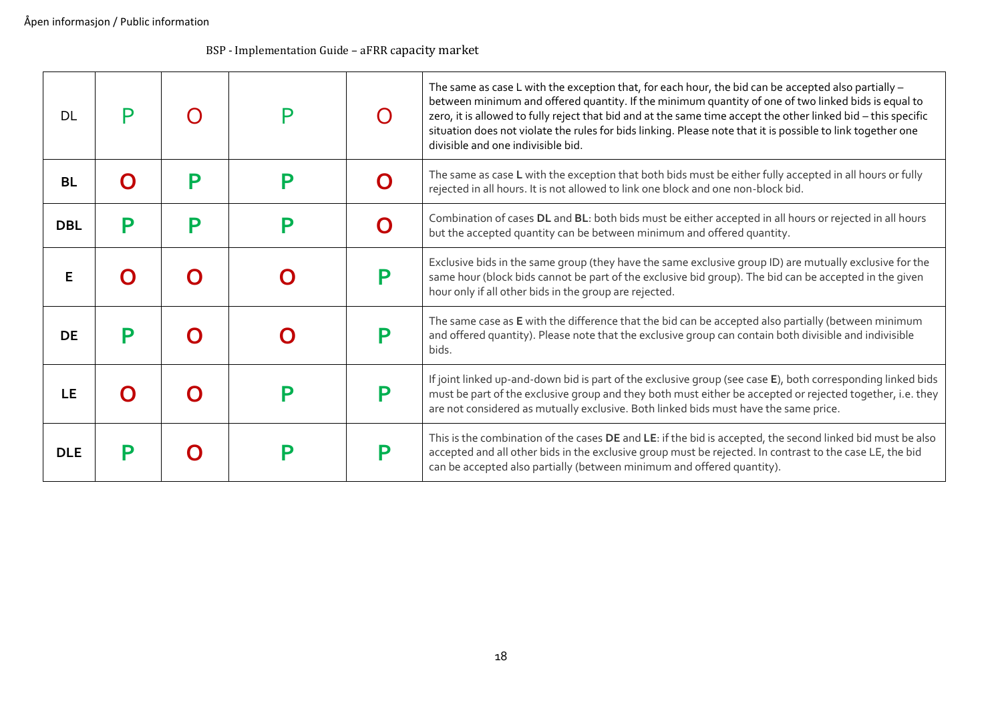| DL         |   |   |   | $\bigcap$ | The same as case L with the exception that, for each hour, the bid can be accepted also partially $-$<br>between minimum and offered quantity. If the minimum quantity of one of two linked bids is equal to<br>zero, it is allowed to fully reject that bid and at the same time accept the other linked bid - this specific<br>situation does not violate the rules for bids linking. Please note that it is possible to link together one<br>divisible and one indivisible bid. |
|------------|---|---|---|-----------|------------------------------------------------------------------------------------------------------------------------------------------------------------------------------------------------------------------------------------------------------------------------------------------------------------------------------------------------------------------------------------------------------------------------------------------------------------------------------------|
| <b>BL</b>  |   | D | D |           | The same as case L with the exception that both bids must be either fully accepted in all hours or fully<br>rejected in all hours. It is not allowed to link one block and one non-block bid.                                                                                                                                                                                                                                                                                      |
| <b>DBL</b> | P | D | P |           | Combination of cases DL and BL: both bids must be either accepted in all hours or rejected in all hours<br>but the accepted quantity can be between minimum and offered quantity.                                                                                                                                                                                                                                                                                                  |
| F.         |   |   |   |           | Exclusive bids in the same group (they have the same exclusive group ID) are mutually exclusive for the<br>same hour (block bids cannot be part of the exclusive bid group). The bid can be accepted in the given<br>hour only if all other bids in the group are rejected.                                                                                                                                                                                                        |
| <b>DE</b>  | D |   |   |           | The same case as E with the difference that the bid can be accepted also partially (between minimum<br>and offered quantity). Please note that the exclusive group can contain both divisible and indivisible<br>bids.                                                                                                                                                                                                                                                             |
| LE         |   |   |   |           | If joint linked up-and-down bid is part of the exclusive group (see case E), both corresponding linked bids<br>must be part of the exclusive group and they both must either be accepted or rejected together, i.e. they<br>are not considered as mutually exclusive. Both linked bids must have the same price.                                                                                                                                                                   |
| <b>DLE</b> |   |   |   |           | This is the combination of the cases DE and LE: if the bid is accepted, the second linked bid must be also<br>accepted and all other bids in the exclusive group must be rejected. In contrast to the case LE, the bid<br>can be accepted also partially (between minimum and offered quantity).                                                                                                                                                                                   |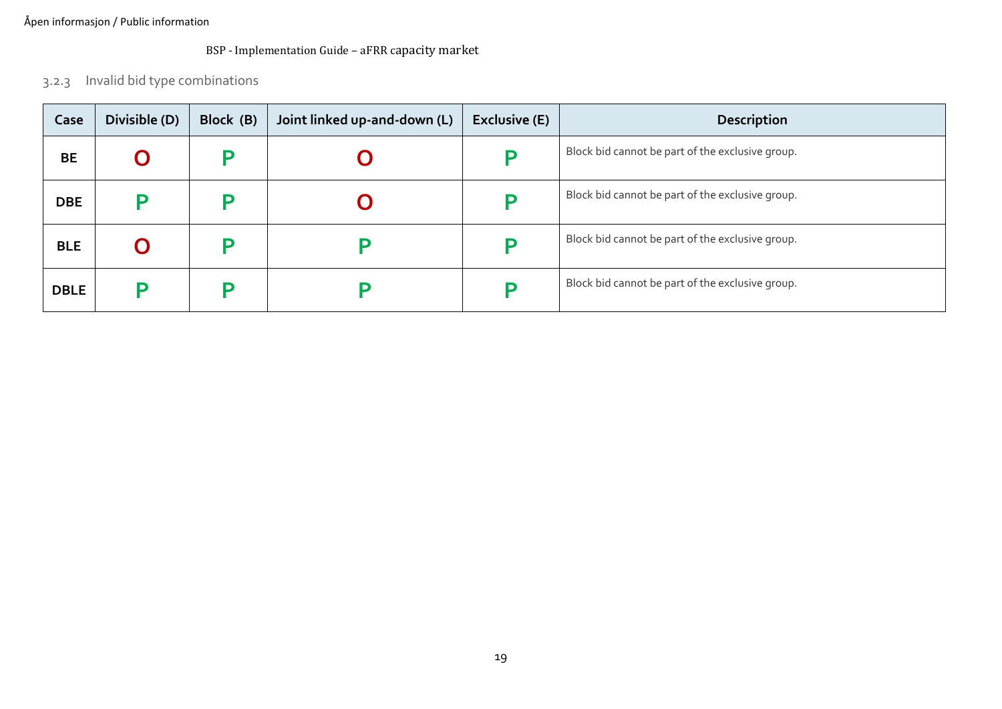3.2.3 Invalid bid type combinations

<span id="page-18-0"></span>

| Case        | Divisible (D) | Block (B) | Joint linked up-and-down (L) | <b>Exclusive (E)</b> | <b>Description</b>                               |
|-------------|---------------|-----------|------------------------------|----------------------|--------------------------------------------------|
| <b>BE</b>   | Ő             |           |                              |                      | Block bid cannot be part of the exclusive group. |
| <b>DBE</b>  |               |           |                              |                      | Block bid cannot be part of the exclusive group. |
| <b>BLE</b>  | Ő             |           | $\blacksquare$               |                      | Block bid cannot be part of the exclusive group. |
| <b>DBLE</b> |               |           | $\blacksquare$               |                      | Block bid cannot be part of the exclusive group. |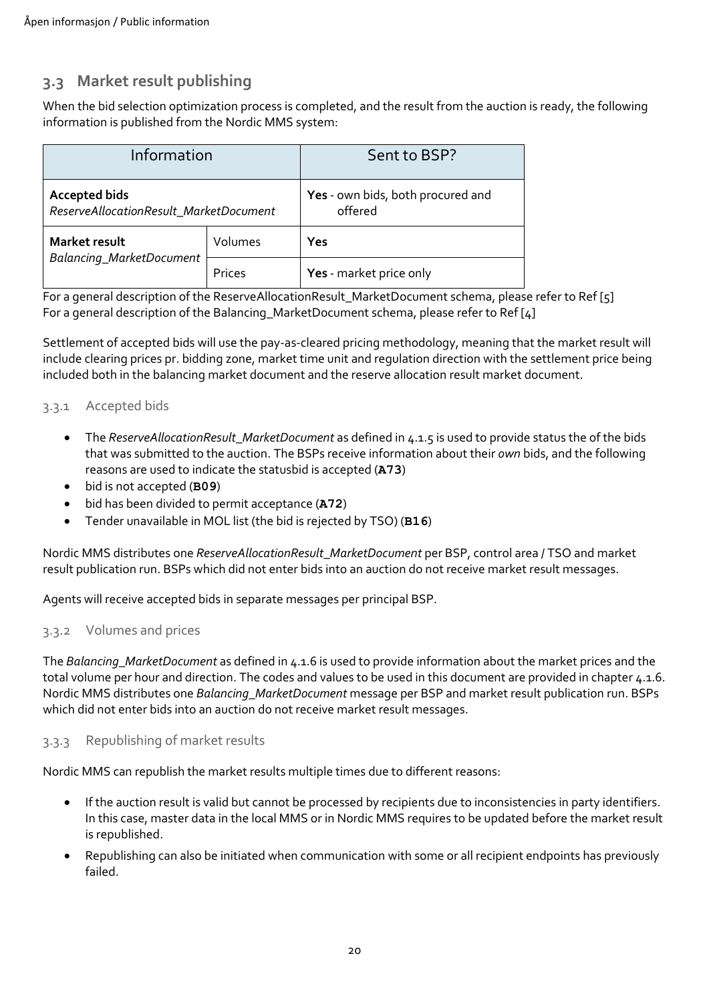# <span id="page-19-0"></span>**3.3 Market result publishing**

When the bid selection optimization process is completed, and the result from the auction is ready, the following information is published from the Nordic MMS system:

| Information                                                    |         | Sent to BSP?                                 |
|----------------------------------------------------------------|---------|----------------------------------------------|
| <b>Accepted bids</b><br>ReserveAllocationResult_MarketDocument |         | Yes - own bids, both procured and<br>offered |
| Market result                                                  | Volumes | Yes                                          |
| Balancing_MarketDocument                                       | Prices  | Yes - market price only                      |

For a general description of the ReserveAllocationResult\_MarketDocument schema, please refer to [Ref \[5\]](#page-6-2) For a general description of the Balancing\_MarketDocument schema, please refer t[o Ref \[4\]](#page-6-6)

Settlement of accepted bids will use the pay-as-cleared pricing methodology, meaning that the market result will include clearing prices pr. bidding zone, market time unit and regulation direction with the settlement price being included both in the balancing market document and the reserve allocation result market document.

#### <span id="page-19-1"></span>3.3.1 Accepted bids

- The *ReserveAllocationResult\_MarketDocument* as defined i[n 4.1.5](#page-25-0) is used to provide status the of the bids that was submitted to the auction. The BSPs receive information about their *own* bids, and the following reasons are used to indicate the statusbid is accepted (**A73**)
- bid is not accepted (**B09**)
- bid has been divided to permit acceptance (**A72**)
- Tender unavailable in MOL list (the bid is rejected by TSO) (**B16**)

Nordic MMS distributes one *ReserveAllocationResult\_MarketDocument* per BSP, control area / TSO and market result publication run. BSPs which did not enter bids into an auction do not receive market result messages.

Agents will receive accepted bids in separate messages per principal BSP.

#### <span id="page-19-2"></span>3.3.2 Volumes and prices

The *Balancing\_MarketDocument* as defined in [4.1.6](#page-28-0) is used to provide information about the market prices and the total volume per hour and direction. The codes and values to be used in this document are provided in chapter  $\mu$ .1.6. Nordic MMS distributes one *Balancing\_MarketDocument* message per BSP and market result publication run. BSPs which did not enter bids into an auction do not receive market result messages.

#### <span id="page-19-3"></span>3.3.3 Republishing of market results

Nordic MMS can republish the market results multiple times due to different reasons:

- If the auction result is valid but cannot be processed by recipients due to inconsistencies in party identifiers. In this case, master data in the local MMS or in Nordic MMS requires to be updated before the market result is republished.
- Republishing can also be initiated when communication with some or all recipient endpoints has previously failed.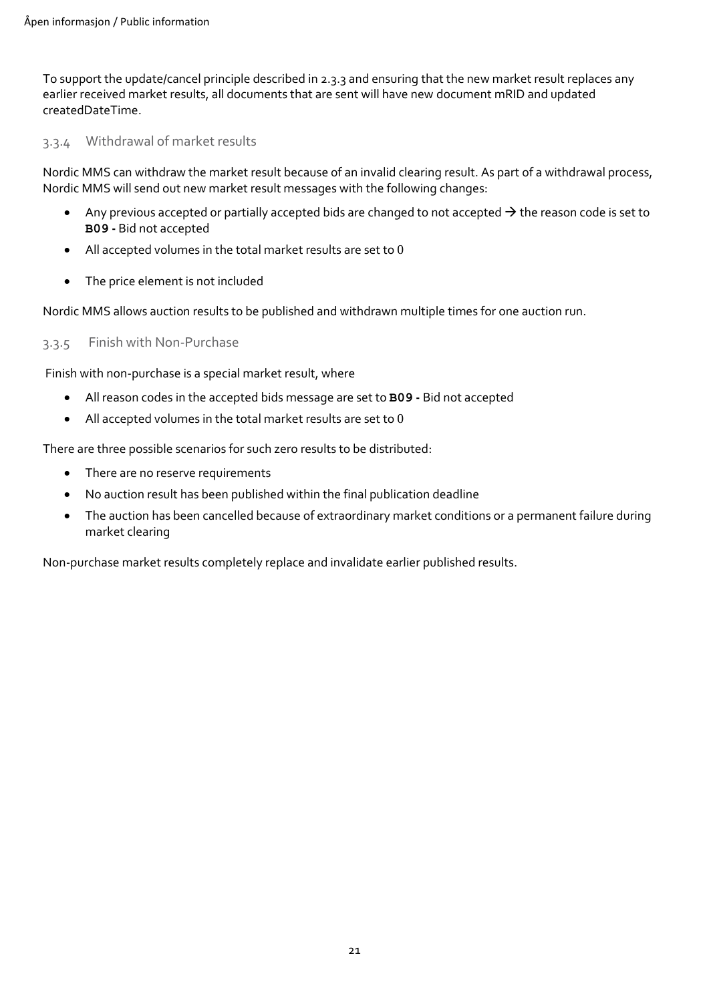To support the update/cancel principle described i[n 2.3.3](#page-9-3) and ensuring that the new market result replaces any earlier received market results, all documents that are sent will have new document mRID and updated createdDateTime.

#### <span id="page-20-0"></span>3.3.4 Withdrawal of market results

Nordic MMS can withdraw the market result because of an invalid clearing result. As part of a withdrawal process, Nordic MMS will send out new market result messages with the following changes:

- Any previous accepted or partially accepted bids are changed to not accepted  $\rightarrow$  the reason code is set to **B09 -** Bid not accepted
- All accepted volumes in the total market results are set to  $0$
- The price element is not included

Nordic MMS allows auction results to be published and withdrawn multiple times for one auction run.

#### <span id="page-20-1"></span>3.3.5 Finish with Non-Purchase

Finish with non-purchase is a special market result, where

- All reason codes in the accepted bids message are set to **B09 -** Bid not accepted
- All accepted volumes in the total market results are set to  $0$

There are three possible scenarios for such zero results to be distributed:

- There are no reserve requirements
- No auction result has been published within the final publication deadline
- The auction has been cancelled because of extraordinary market conditions or a permanent failure during market clearing

Non-purchase market results completely replace and invalidate earlier published results.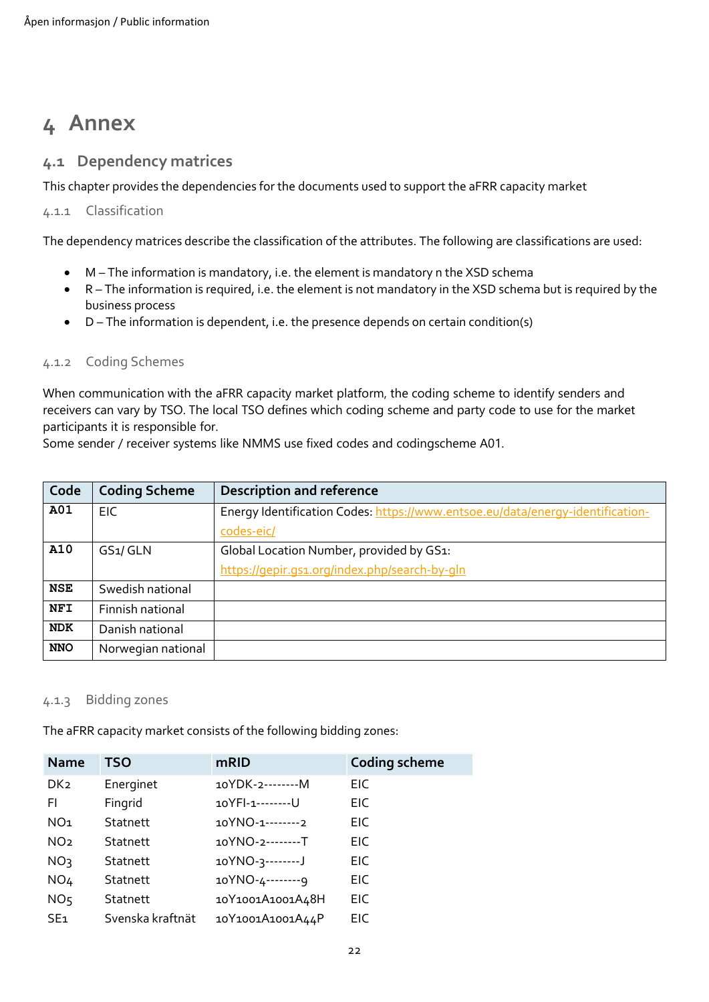# <span id="page-21-0"></span>**4 Annex**

### <span id="page-21-1"></span>**4.1 Dependency matrices**

This chapter provides the dependencies for the documents used to support the aFRR capacity market

#### <span id="page-21-2"></span>4.1.1 Classification

The dependency matrices describe the classification of the attributes. The following are classifications are used:

- M The information is mandatory, i.e. the element is mandatory n the XSD schema
- R The information is required, i.e. the element is not mandatory in the XSD schema but is required by the business process
- D The information is dependent, i.e. the presence depends on certain condition(s)

#### <span id="page-21-3"></span>4.1.2 Coding Schemes

When communication with the aFRR capacity market platform, the coding scheme to identify senders and receivers can vary by TSO. The local TSO defines which coding scheme and party code to use for the market participants it is responsible for.

Some sender / receiver systems like NMMS use fixed codes and codingscheme A01.

| Code       | <b>Coding Scheme</b> | <b>Description and reference</b>                                               |
|------------|----------------------|--------------------------------------------------------------------------------|
| A01        | EIC.                 | Energy Identification Codes: https://www.entsoe.eu/data/energy-identification- |
|            |                      | codes-eic/                                                                     |
| A10        | GS1/GLN              | Global Location Number, provided by GS1:                                       |
|            |                      | https://gepir.gs1.org/index.php/search-by-gln                                  |
| <b>NSE</b> | Swedish national     |                                                                                |
| <b>NFI</b> | Finnish national     |                                                                                |
| <b>NDK</b> | Danish national      |                                                                                |
| <b>NNO</b> | Norwegian national   |                                                                                |

#### <span id="page-21-4"></span>4.1.3 Bidding zones

The aFRR capacity market consists of the following bidding zones:

| <b>Name</b>     | <b>TSO</b>       | mRID             | <b>Coding scheme</b> |
|-----------------|------------------|------------------|----------------------|
| DK <sub>2</sub> | Energinet        | 10YDK-2--------M | EIC                  |
| FI.             | Fingrid          | 10YFI-1--------U | EIC                  |
| NO <sub>1</sub> | <b>Statnett</b>  | 10YNO-1--------2 | EIC.                 |
| NO <sub>2</sub> | <b>Statnett</b>  | 10YNO-2-------T  | EIC.                 |
| NO <sub>3</sub> | <b>Statnett</b>  | 10YNO-3--------J | EIC                  |
| NO <sub>4</sub> | <b>Statnett</b>  | 10YNO-4--------9 | EIC                  |
| NO <sub>5</sub> | <b>Statnett</b>  | 10Y1001A1001A48H | EIC.                 |
| SE <sub>1</sub> | Svenska kraftnät | 10Y1001A1001A44P | EIC.                 |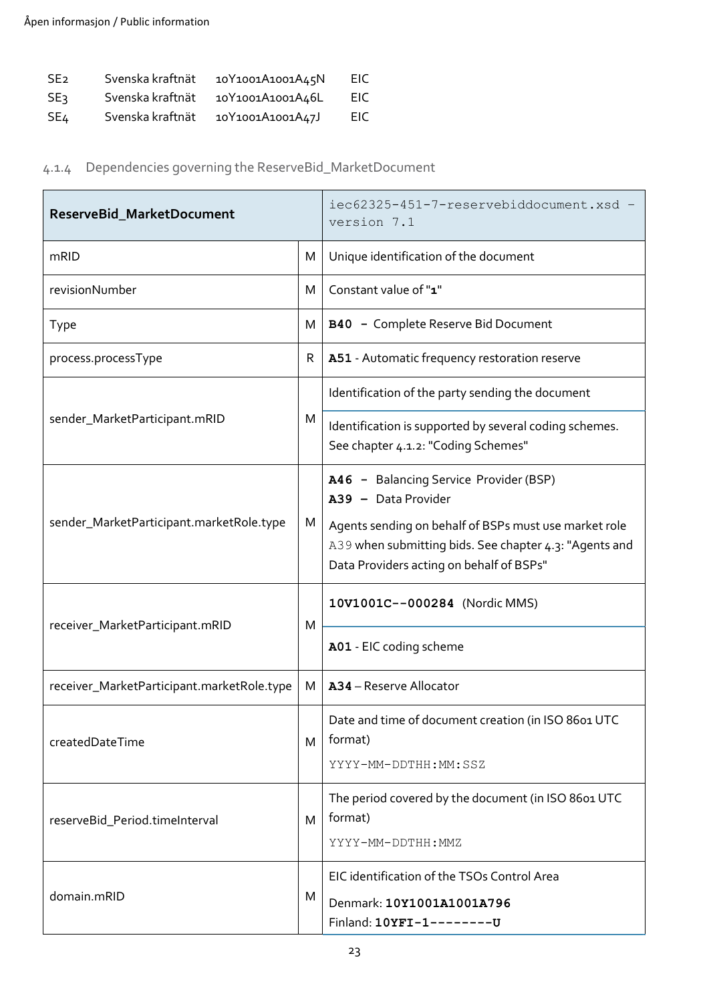| <b>SE<sub>2</sub></b> | Svenska kraftnät | 10Y1001A1001A45N | EIC |
|-----------------------|------------------|------------------|-----|
| <b>SE3</b>            | Svenska kraftnät | 10Y1001A1001A46L | EIC |
| SE4                   | Svenska kraftnät | 10Y1001A1001A47J | EIC |

# <span id="page-22-0"></span>4.1.4 Dependencies governing the ReserveBid\_MarketDocument

| ReserveBid_MarketDocument                  |   | iec62325-451-7-reservebiddocument.xsd -<br>version 7.1                                                                 |
|--------------------------------------------|---|------------------------------------------------------------------------------------------------------------------------|
| mRID                                       | M | Unique identification of the document                                                                                  |
| revisionNumber                             | M | Constant value of "1"                                                                                                  |
| <b>Type</b>                                | M | B40 - Complete Reserve Bid Document                                                                                    |
| process.processType                        | R | A51 - Automatic frequency restoration reserve                                                                          |
|                                            |   | Identification of the party sending the document                                                                       |
| sender_MarketParticipant.mRID              | M | Identification is supported by several coding schemes.<br>See chapter 4.1.2: "Coding Schemes"                          |
| sender_MarketParticipant.marketRole.type   |   | A46 - Balancing Service Provider (BSP)<br>A39 - Data Provider<br>Agents sending on behalf of BSPs must use market role |
|                                            |   | A39 when submitting bids. See chapter 4.3: "Agents and<br>Data Providers acting on behalf of BSPs"                     |
| receiver_MarketParticipant.mRID            |   | 10V1001C--000284 (Nordic MMS)                                                                                          |
|                                            | M | A01 - EIC coding scheme                                                                                                |
| receiver_MarketParticipant.marketRole.type | M | A34 - Reserve Allocator                                                                                                |
| createdDateTime                            | M | Date and time of document creation (in ISO 8601 UTC<br>format)                                                         |
|                                            |   | YYYY-MM-DDTHH:MM:SSZ                                                                                                   |
| reserveBid_Period.timeInterval             | M | The period covered by the document (in ISO 8601 UTC<br>format)                                                         |
|                                            |   | YYYY-MM-DDTHH:MMZ                                                                                                      |
| domain.mRID                                |   | EIC identification of the TSOs Control Area                                                                            |
|                                            |   | Denmark: 10Y1001A1001A796<br>Finland: 10YFI-1--------U                                                                 |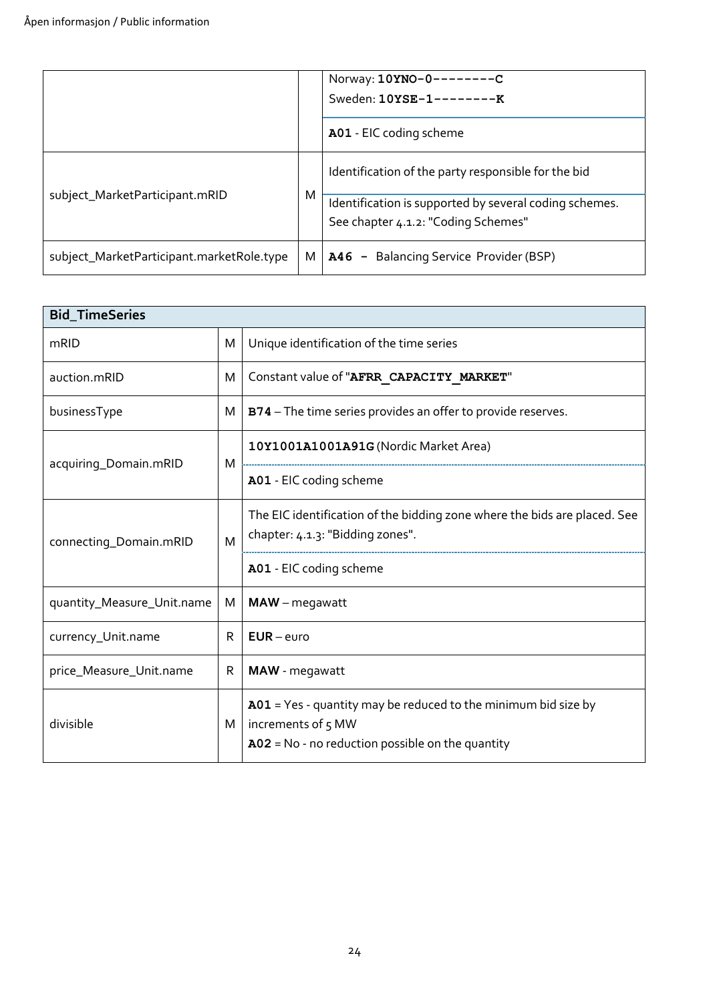|                                           |   | Norway: 10YNO-0--------C<br>Sweden: 10YSE-1--------K<br>A01 - EIC coding scheme                                                                      |
|-------------------------------------------|---|------------------------------------------------------------------------------------------------------------------------------------------------------|
| subject_MarketParticipant.mRID            | M | Identification of the party responsible for the bid<br>Identification is supported by several coding schemes.<br>See chapter 4.1.2: "Coding Schemes" |
| subject_MarketParticipant.marketRole.type | M | <b>A46</b> - Balancing Service Provider (BSP)                                                                                                        |

| <b>Bid_TimeSeries</b>        |   |                                                                                                                                              |  |  |  |
|------------------------------|---|----------------------------------------------------------------------------------------------------------------------------------------------|--|--|--|
| mRID                         |   | Unique identification of the time series                                                                                                     |  |  |  |
| auction.mRID<br>M            |   | Constant value of "AFRR CAPACITY MARKET"                                                                                                     |  |  |  |
| businessType<br>М            |   | B74 - The time series provides an offer to provide reserves.                                                                                 |  |  |  |
|                              |   | 10Y1001A1001A91G (Nordic Market Area)                                                                                                        |  |  |  |
| acquiring_Domain.mRID        | M | A01 - EIC coding scheme                                                                                                                      |  |  |  |
| connecting_Domain.mRID       |   | The EIC identification of the bidding zone where the bids are placed. See<br>chapter: 4.1.3: "Bidding zones".                                |  |  |  |
|                              |   | A01 - EIC coding scheme                                                                                                                      |  |  |  |
| quantity_Measure_Unit.name   | M | $MAW$ – megawatt                                                                                                                             |  |  |  |
| currency_Unit.name<br>R      |   | $EUR$ – euro                                                                                                                                 |  |  |  |
| price_Measure_Unit.name<br>R |   | MAW - megawatt                                                                                                                               |  |  |  |
| divisible                    |   | $A01$ = Yes - quantity may be reduced to the minimum bid size by<br>increments of 5 MW<br>$A02 = No - no reduction possible on the quantity$ |  |  |  |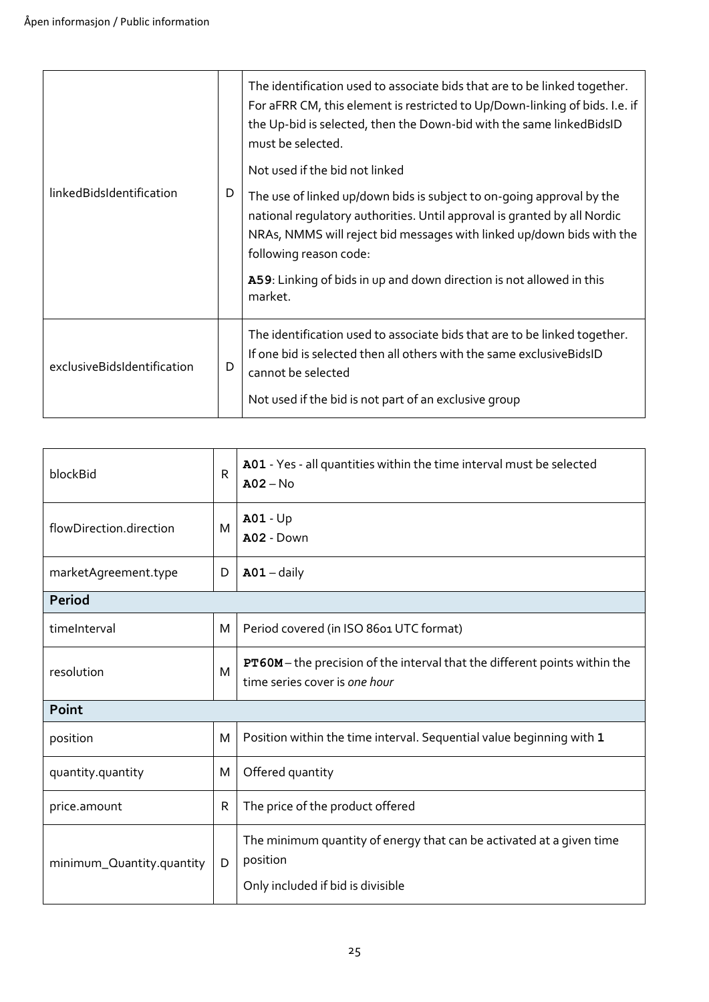|                             |   | The identification used to associate bids that are to be linked together.<br>For aFRR CM, this element is restricted to Up/Down-linking of bids. I.e. if<br>the Up-bid is selected, then the Down-bid with the same linkedBidsID<br>must be selected.<br>Not used if the bid not linked                                                 |
|-----------------------------|---|-----------------------------------------------------------------------------------------------------------------------------------------------------------------------------------------------------------------------------------------------------------------------------------------------------------------------------------------|
| linkedBidsIdentification    |   | The use of linked up/down bids is subject to on-going approval by the<br>national regulatory authorities. Until approval is granted by all Nordic<br>NRAs, NMMS will reject bid messages with linked up/down bids with the<br>following reason code:<br>A59: Linking of bids in up and down direction is not allowed in this<br>market. |
| exclusiveBidsIdentification | D | The identification used to associate bids that are to be linked together.<br>If one bid is selected then all others with the same exclusiveBidsID<br>cannot be selected<br>Not used if the bid is not part of an exclusive group                                                                                                        |

| blockBid                  | $\mathsf{R}$ | A01 - Yes - all quantities within the time interval must be selected<br>$A02 - No$                                    |  |  |  |  |
|---------------------------|--------------|-----------------------------------------------------------------------------------------------------------------------|--|--|--|--|
| flowDirection.direction   | M            | <b>A01 - Up</b><br>A02 - Down                                                                                         |  |  |  |  |
| marketAgreement.type      | D            | $A01 - daily$                                                                                                         |  |  |  |  |
| <b>Period</b>             |              |                                                                                                                       |  |  |  |  |
| timeInterval              | M            | Period covered (in ISO 8601 UTC format)                                                                               |  |  |  |  |
| resolution                | M            | <b>PT60M</b> - the precision of the interval that the different points within the<br>time series cover is one hour    |  |  |  |  |
| Point                     |              |                                                                                                                       |  |  |  |  |
| position                  | M            | Position within the time interval. Sequential value beginning with 1                                                  |  |  |  |  |
| quantity.quantity         | M            | Offered quantity                                                                                                      |  |  |  |  |
| price.amount              | $\mathsf{R}$ | The price of the product offered                                                                                      |  |  |  |  |
| minimum_Quantity.quantity | D            | The minimum quantity of energy that can be activated at a given time<br>position<br>Only included if bid is divisible |  |  |  |  |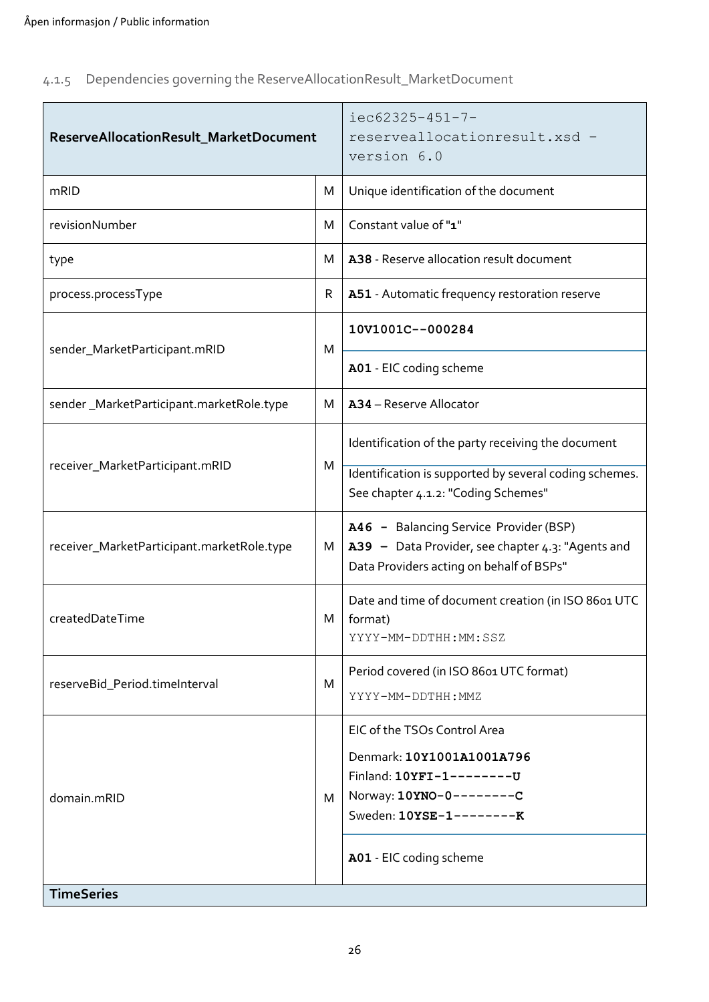<span id="page-25-0"></span>

|  | 4.1.5 Dependencies governing the ReserveAllocationResult_MarketDocument |  |
|--|-------------------------------------------------------------------------|--|
|  |                                                                         |  |

| ReserveAllocationResult_MarketDocument     | $iec62325 - 451 - 7 -$<br>reserveallocationresult.xsd -<br>version 6.0 |                                                                                                                                                                           |
|--------------------------------------------|------------------------------------------------------------------------|---------------------------------------------------------------------------------------------------------------------------------------------------------------------------|
| mRID                                       | M                                                                      | Unique identification of the document                                                                                                                                     |
| revisionNumber                             | M                                                                      | Constant value of "1"                                                                                                                                                     |
| type                                       | м                                                                      | A38 - Reserve allocation result document                                                                                                                                  |
| process.processType                        | R                                                                      | A51 - Automatic frequency restoration reserve                                                                                                                             |
| sender_MarketParticipant.mRID              | M                                                                      | 10V1001C--000284                                                                                                                                                          |
|                                            |                                                                        | A01 - EIC coding scheme                                                                                                                                                   |
| sender_MarketParticipant.marketRole.type   | M                                                                      | A34 - Reserve Allocator                                                                                                                                                   |
|                                            |                                                                        | Identification of the party receiving the document                                                                                                                        |
| receiver_MarketParticipant.mRID            |                                                                        | Identification is supported by several coding schemes.<br>See chapter 4.1.2: "Coding Schemes"                                                                             |
| receiver_MarketParticipant.marketRole.type | M                                                                      | A46 - Balancing Service Provider (BSP)<br>A39 - Data Provider, see chapter 4.3: "Agents and<br>Data Providers acting on behalf of BSPs"                                   |
| createdDateTime                            | M                                                                      | Date and time of document creation (in ISO 8601 UTC<br>format)<br>YYYY-MM-DDTHH:MM:SSZ                                                                                    |
| reserveBid_Period.timeInterval             | М                                                                      | Period covered (in ISO 8601 UTC format)<br>YYYY-MM-DDTHH:MMZ                                                                                                              |
| domain.mRID                                | M                                                                      | EIC of the TSOs Control Area<br>Denmark: 10Y1001A1001A796<br>Finland: 10YFI-1--------U<br>Norway: 10YNO-0--------C<br>Sweden: 10YSE-1--------K<br>A01 - EIC coding scheme |
| <b>TimeSeries</b>                          |                                                                        |                                                                                                                                                                           |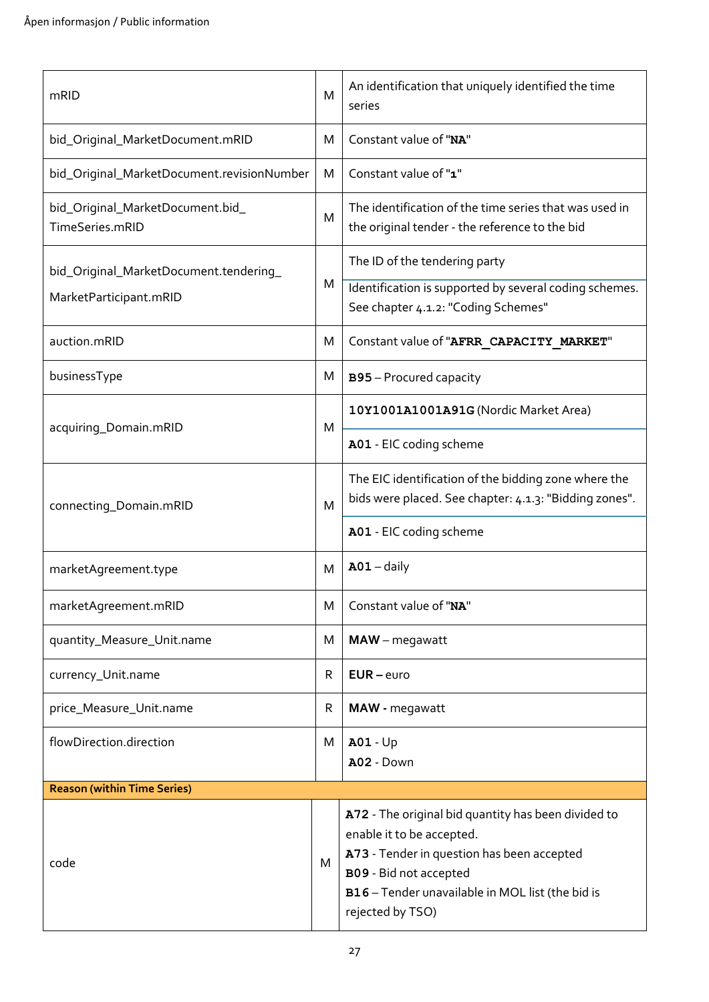| mRID                                                | M | An identification that uniquely identified the time<br>series                                                                                                                                                                    |  |  |
|-----------------------------------------------------|---|----------------------------------------------------------------------------------------------------------------------------------------------------------------------------------------------------------------------------------|--|--|
| bid_Original_MarketDocument.mRID                    | M | Constant value of "NA"                                                                                                                                                                                                           |  |  |
| bid_Original_MarketDocument.revisionNumber          | M | Constant value of "1"                                                                                                                                                                                                            |  |  |
| bid_Original_MarketDocument.bid_<br>TimeSeries.mRID | M | The identification of the time series that was used in<br>the original tender - the reference to the bid                                                                                                                         |  |  |
| bid_Original_MarketDocument.tendering_              |   | The ID of the tendering party                                                                                                                                                                                                    |  |  |
| MarketParticipant.mRID                              | M | Identification is supported by several coding schemes.<br>See chapter 4.1.2: "Coding Schemes"                                                                                                                                    |  |  |
| auction.mRID                                        | M | Constant value of "AFRR CAPACITY MARKET"                                                                                                                                                                                         |  |  |
| businessType                                        | M | B95 - Procured capacity                                                                                                                                                                                                          |  |  |
| acquiring_Domain.mRID                               | M | 10Y1001A1001A91G (Nordic Market Area)                                                                                                                                                                                            |  |  |
|                                                     |   | A01 - EIC coding scheme                                                                                                                                                                                                          |  |  |
| connecting_Domain.mRID                              | M | The EIC identification of the bidding zone where the<br>bids were placed. See chapter: 4.1.3: "Bidding zones".                                                                                                                   |  |  |
|                                                     |   | A01 - EIC coding scheme                                                                                                                                                                                                          |  |  |
| marketAgreement.type                                | м | $A01 - daily$                                                                                                                                                                                                                    |  |  |
| marketAgreement.mRID                                | M | Constant value of "NA"                                                                                                                                                                                                           |  |  |
| quantity_Measure_Unit.name                          | Μ | MAW - megawatt                                                                                                                                                                                                                   |  |  |
| currency_Unit.name                                  | R | $EUR$ – euro                                                                                                                                                                                                                     |  |  |
| price_Measure_Unit.name                             | R | MAW - megawatt                                                                                                                                                                                                                   |  |  |
| flowDirection.direction                             | М | $A01 - Up$<br>A02 - Down                                                                                                                                                                                                         |  |  |
| <b>Reason (within Time Series)</b>                  |   |                                                                                                                                                                                                                                  |  |  |
| code                                                | M | A72 - The original bid quantity has been divided to<br>enable it to be accepted.<br>A73 - Tender in question has been accepted<br>B09 - Bid not accepted<br>B16 - Tender unavailable in MOL list (the bid is<br>rejected by TSO) |  |  |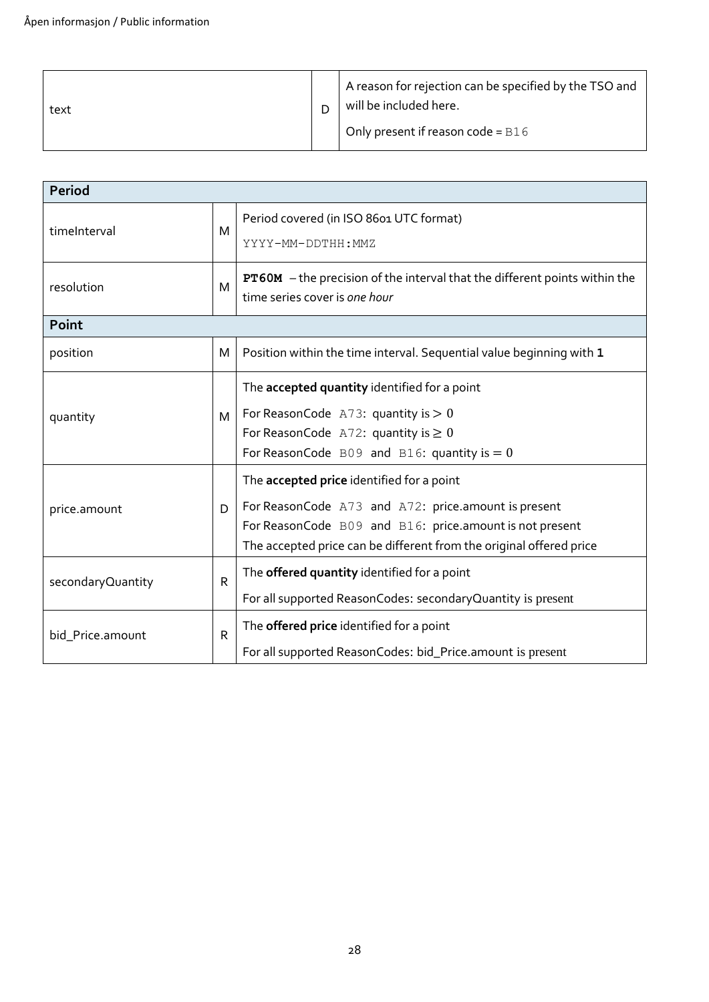| text |  | A reason for rejection can be specified by the TSO and<br>will be included here.<br>Only present if reason code = $B16$ |
|------|--|-------------------------------------------------------------------------------------------------------------------------|
|------|--|-------------------------------------------------------------------------------------------------------------------------|

| <b>Period</b>                                                                                                                        |   |                                                                                                                                                                                                                                    |  |  |
|--------------------------------------------------------------------------------------------------------------------------------------|---|------------------------------------------------------------------------------------------------------------------------------------------------------------------------------------------------------------------------------------|--|--|
| timeInterval<br>M                                                                                                                    |   | Period covered (in ISO 8601 UTC format)<br>YYYY-MM-DDTHH: MMZ                                                                                                                                                                      |  |  |
| resolution                                                                                                                           | M | <b>PT60M</b> - the precision of the interval that the different points within the<br>time series cover is one hour                                                                                                                 |  |  |
| Point                                                                                                                                |   |                                                                                                                                                                                                                                    |  |  |
| position                                                                                                                             | M | Position within the time interval. Sequential value beginning with 1                                                                                                                                                               |  |  |
| quantity                                                                                                                             | M | The accepted quantity identified for a point<br>For ReasonCode A73: quantity is $> 0$<br>For ReasonCode A72: quantity is $\geq 0$<br>For ReasonCode B09 and B16: quantity is $= 0$                                                 |  |  |
| price.amount                                                                                                                         | D | The accepted price identified for a point<br>For ReasonCode A73 and A72: price.amount is present<br>For ReasonCode B09 and B16: price.amount is not present<br>The accepted price can be different from the original offered price |  |  |
| The offered quantity identified for a point<br>R<br>secondaryQuantity<br>For all supported ReasonCodes: secondaryQuantity is present |   |                                                                                                                                                                                                                                    |  |  |
| R<br>bid_Price.amount                                                                                                                |   | The offered price identified for a point<br>For all supported ReasonCodes: bid_Price.amount is present                                                                                                                             |  |  |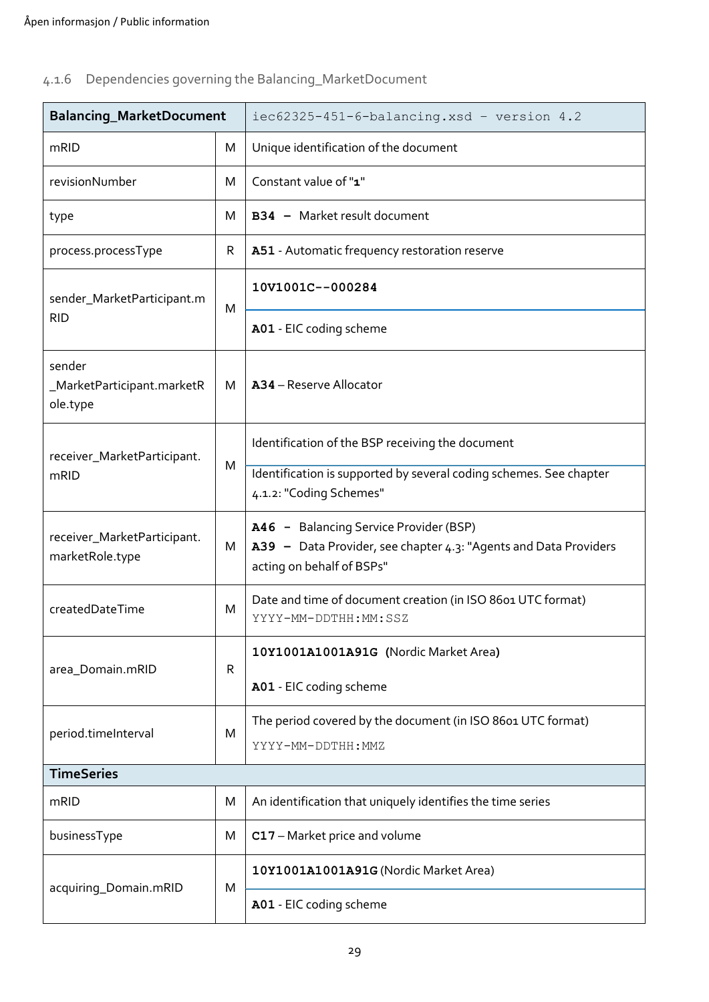# <span id="page-28-0"></span>4.1.6 Dependencies governing the Balancing\_MarketDocument

| Balancing_MarketDocument                         |   | iec62325-451-6-balancing.xsd - version 4.2                                                                                              |  |  |
|--------------------------------------------------|---|-----------------------------------------------------------------------------------------------------------------------------------------|--|--|
| mRID                                             | M | Unique identification of the document                                                                                                   |  |  |
| revisionNumber                                   | M | Constant value of "1"                                                                                                                   |  |  |
| type                                             | M | B34 - Market result document                                                                                                            |  |  |
| process.processType                              | R | A51 - Automatic frequency restoration reserve                                                                                           |  |  |
| sender_MarketParticipant.m<br><b>RID</b>         | M | 10V1001C--000284                                                                                                                        |  |  |
|                                                  |   | A01 - EIC coding scheme                                                                                                                 |  |  |
| sender<br>_MarketParticipant.marketR<br>ole.type | м | A34 - Reserve Allocator                                                                                                                 |  |  |
| receiver_MarketParticipant.<br>mRID              | M | Identification of the BSP receiving the document                                                                                        |  |  |
|                                                  |   | Identification is supported by several coding schemes. See chapter<br>4.1.2: "Coding Schemes"                                           |  |  |
| receiver_MarketParticipant.<br>marketRole.type   | M | A46 - Balancing Service Provider (BSP)<br>A39 - Data Provider, see chapter 4.3: "Agents and Data Providers<br>acting on behalf of BSPs" |  |  |
| createdDateTime                                  | M | Date and time of document creation (in ISO 8601 UTC format)<br>YYYY-MM-DDTHH:MM:SSZ                                                     |  |  |
| area_Domain.mRID                                 | R | 10Y1001A1001A91G (Nordic Market Area)                                                                                                   |  |  |
|                                                  |   | A01 - EIC coding scheme                                                                                                                 |  |  |
| period.timeInterval                              | M | The period covered by the document (in ISO 8601 UTC format)<br>YYYY-MM-DDTHH: MMZ                                                       |  |  |
| <b>TimeSeries</b>                                |   |                                                                                                                                         |  |  |
| mRID                                             | M | An identification that uniquely identifies the time series                                                                              |  |  |
| businessType                                     | M | C17 - Market price and volume                                                                                                           |  |  |
| acquiring_Domain.mRID                            | M | 10Y1001A1001A91G (Nordic Market Area)                                                                                                   |  |  |
|                                                  |   | A01 - EIC coding scheme                                                                                                                 |  |  |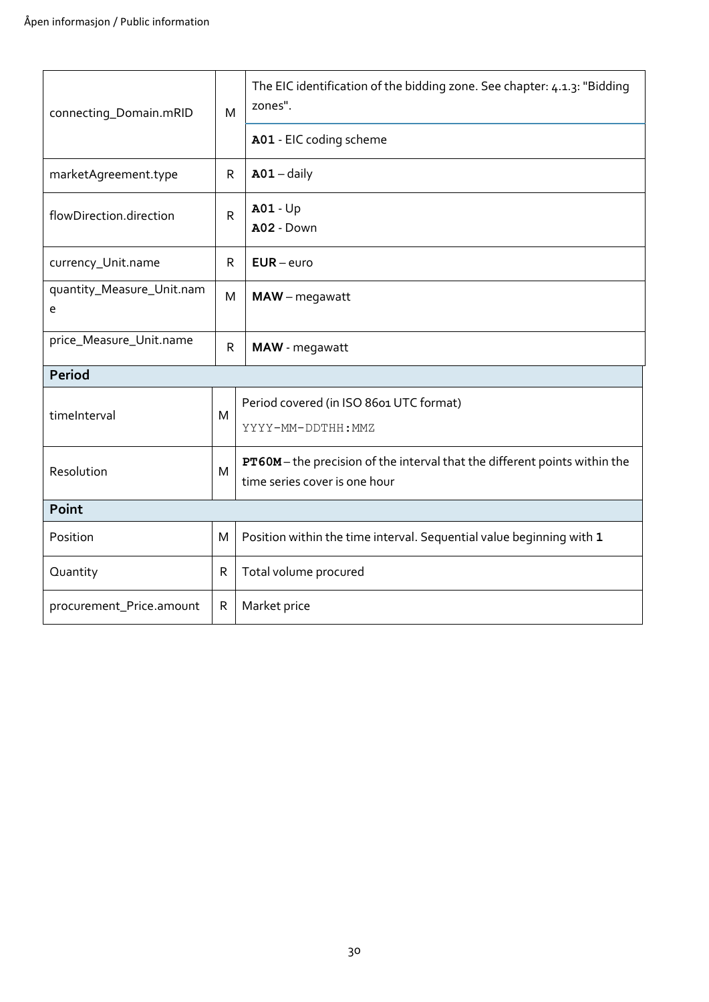| connecting_Domain.mRID         |              | The EIC identification of the bidding zone. See chapter: 4.1.3: "Bidding<br>zones".<br>M                  |  |  |  |
|--------------------------------|--------------|-----------------------------------------------------------------------------------------------------------|--|--|--|
|                                |              | A01 - EIC coding scheme                                                                                   |  |  |  |
| marketAgreement.type           | R            | $A01 - daily$                                                                                             |  |  |  |
| flowDirection.direction        | $\mathsf{R}$ | <b>A01 - Up</b><br>A02 - Down                                                                             |  |  |  |
| currency_Unit.name             | R            | $EUR$ – euro                                                                                              |  |  |  |
| quantity_Measure_Unit.nam<br>e | M            | MAW - megawatt                                                                                            |  |  |  |
| price_Measure_Unit.name        | ${\sf R}$    | MAW - megawatt                                                                                            |  |  |  |
| Period                         |              |                                                                                                           |  |  |  |
| timeInterval                   | M            | Period covered (in ISO 8601 UTC format)<br>YYYY-MM-DDTHH: MMZ                                             |  |  |  |
| Resolution                     | M            | PT60M-the precision of the interval that the different points within the<br>time series cover is one hour |  |  |  |
| Point                          |              |                                                                                                           |  |  |  |
| Position                       | M            | Position within the time interval. Sequential value beginning with 1                                      |  |  |  |
| Quantity                       | $\mathsf{R}$ | Total volume procured                                                                                     |  |  |  |
| procurement_Price.amount       | $\mathsf{R}$ | Market price                                                                                              |  |  |  |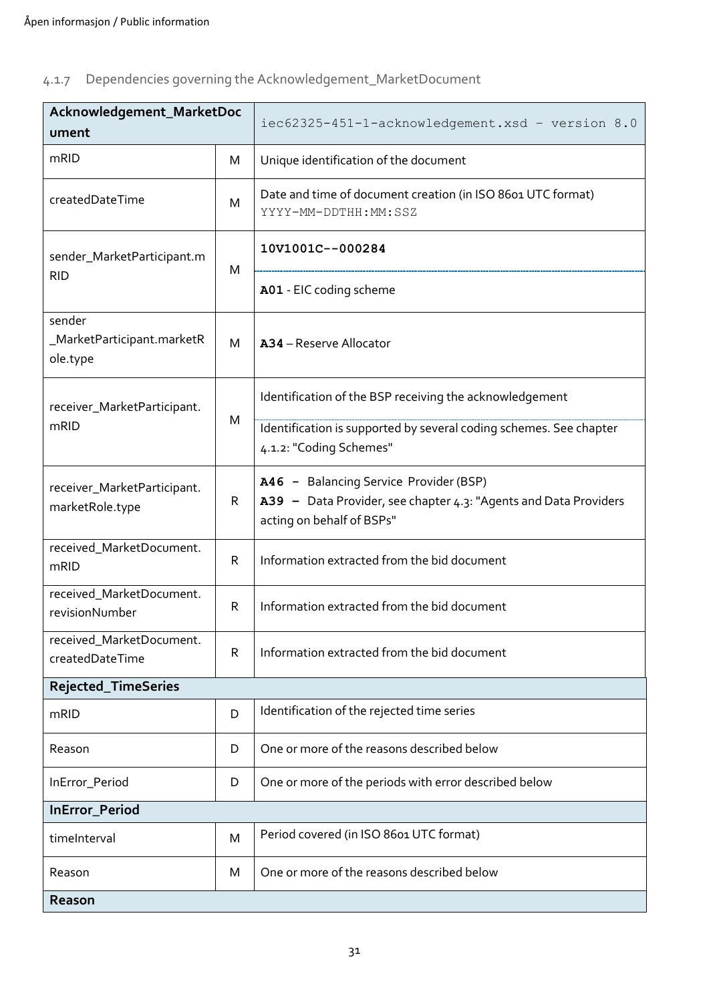# <span id="page-30-0"></span>4.1.7 Dependencies governing the Acknowledgement\_MarketDocument

| Acknowledgement_MarketDoc<br>ument               |   | iec62325-451-1-acknowledgement.xsd - version 8.0                                                                                        |  |
|--------------------------------------------------|---|-----------------------------------------------------------------------------------------------------------------------------------------|--|
| mRID                                             | M | Unique identification of the document                                                                                                   |  |
| createdDateTime                                  | M | Date and time of document creation (in ISO 8601 UTC format)<br>YYYY-MM-DDTHH:MM:SSZ                                                     |  |
| sender_MarketParticipant.m<br><b>RID</b>         | M | 10V1001C--000284                                                                                                                        |  |
|                                                  |   | A01 - EIC coding scheme                                                                                                                 |  |
| sender<br>_MarketParticipant.marketR<br>ole.type | M | A34 - Reserve Allocator                                                                                                                 |  |
| receiver_MarketParticipant.<br>mRID              | M | Identification of the BSP receiving the acknowledgement                                                                                 |  |
|                                                  |   | Identification is supported by several coding schemes. See chapter<br>4.1.2: "Coding Schemes"                                           |  |
| receiver_MarketParticipant.<br>marketRole.type   | R | A46 - Balancing Service Provider (BSP)<br>A39 - Data Provider, see chapter 4.3: "Agents and Data Providers<br>acting on behalf of BSPs" |  |
| received_MarketDocument.<br>mRID                 | R | Information extracted from the bid document                                                                                             |  |
| received_MarketDocument.<br>revisionNumber       | R | Information extracted from the bid document                                                                                             |  |
| received_MarketDocument.<br>createdDateTime      | R | Information extracted from the bid document                                                                                             |  |
| Rejected_TimeSeries                              |   |                                                                                                                                         |  |
| mRID                                             | D | Identification of the rejected time series                                                                                              |  |
| Reason                                           | D | One or more of the reasons described below                                                                                              |  |
| InError_Period                                   | D | One or more of the periods with error described below                                                                                   |  |
| InError_Period                                   |   |                                                                                                                                         |  |
| timeInterval                                     | M | Period covered (in ISO 8601 UTC format)                                                                                                 |  |
| Reason                                           | M | One or more of the reasons described below                                                                                              |  |
| Reason                                           |   |                                                                                                                                         |  |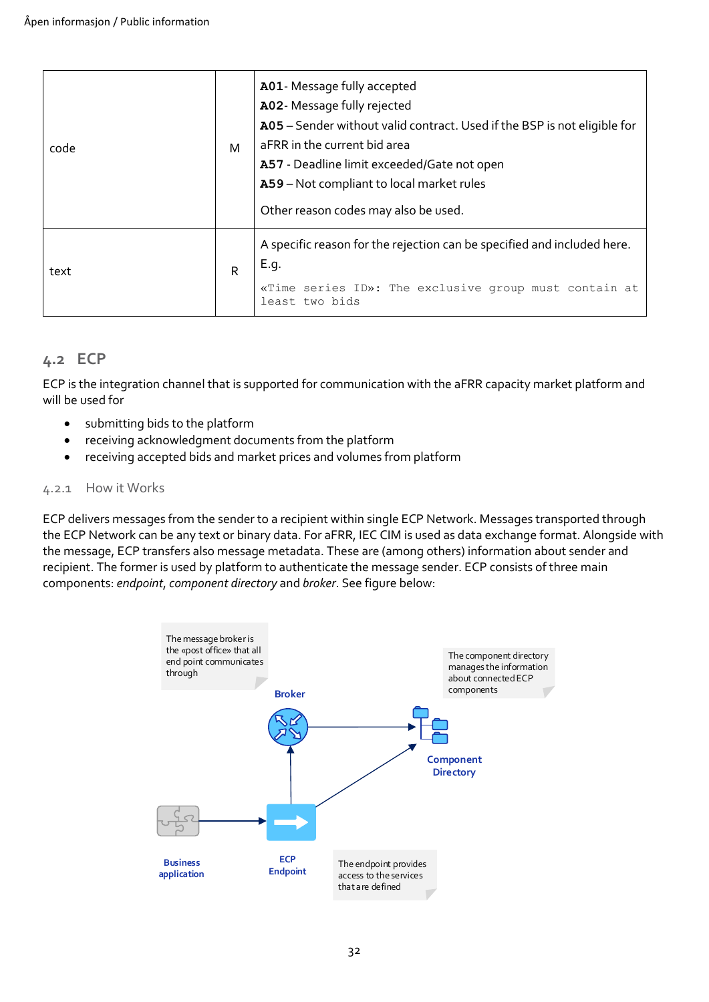| code | М | A01- Message fully accepted<br>A02- Message fully rejected<br>A05 - Sender without valid contract. Used if the BSP is not eligible for<br>aFRR in the current bid area<br>A57 - Deadline limit exceeded/Gate not open<br>A59 - Not compliant to local market rules<br>Other reason codes may also be used. |  |
|------|---|------------------------------------------------------------------------------------------------------------------------------------------------------------------------------------------------------------------------------------------------------------------------------------------------------------|--|
| text | R | A specific reason for the rejection can be specified and included here.<br>E.q.<br>«Time series ID»: The exclusive group must contain at<br>least two bids                                                                                                                                                 |  |

### <span id="page-31-0"></span>**4.2 ECP**

ECP is the integration channel that is supported for communication with the aFRR capacity market platform and will be used for

- submitting bids to the platform
- receiving acknowledgment documents from the platform
- receiving accepted bids and market prices and volumes from platform

#### <span id="page-31-1"></span>4.2.1 How it Works

ECP delivers messages from the sender to a recipient within single ECP Network. Messages transported through the ECP Network can be any text or binary data. For aFRR, IEC CIM is used as data exchange format. Alongside with the message, ECP transfers also message metadata. These are (among others) information about sender and recipient. The former is used by platform to authenticate the message sender. ECP consists of three main components: *endpoint*, *component directory* and *broker*. See figure below:

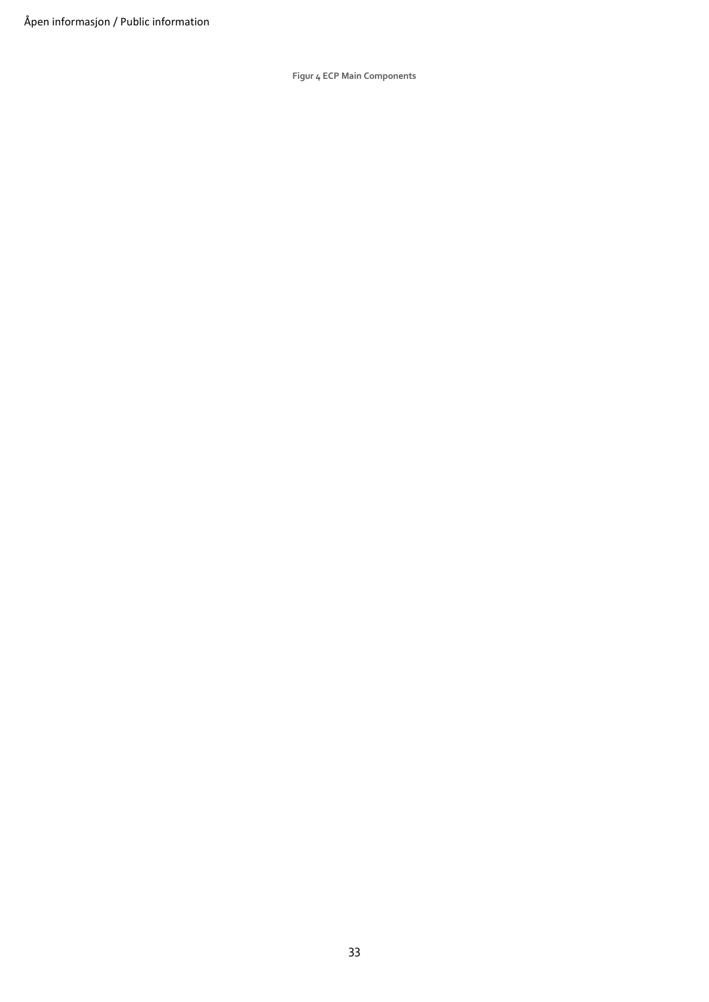**Figur 4 ECP Main Components**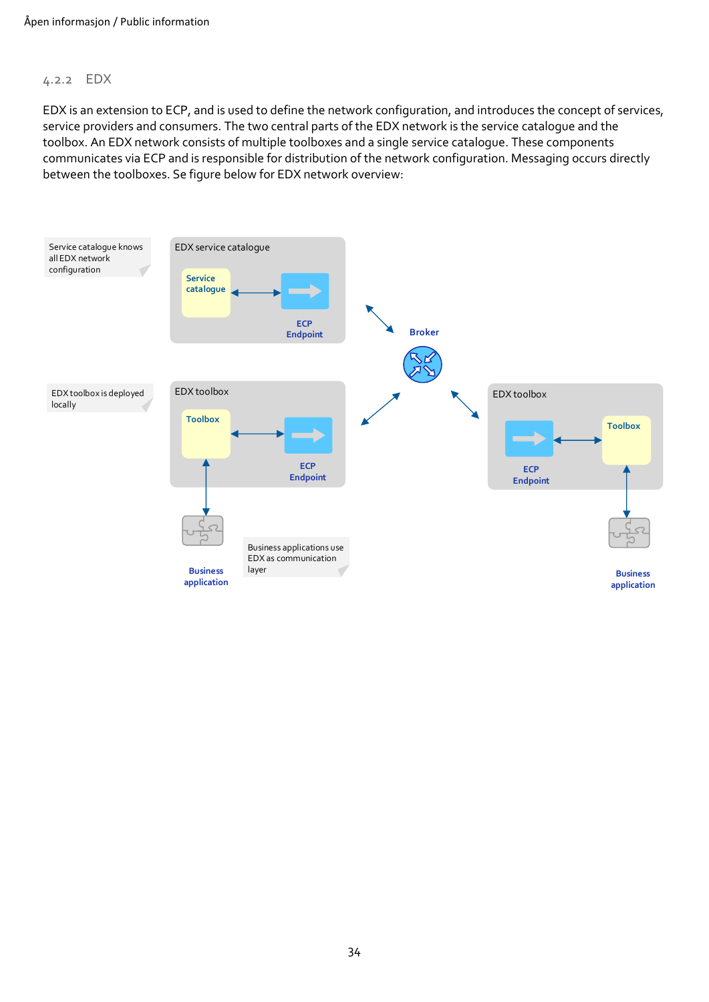#### <span id="page-33-0"></span>4.2.2 EDX

EDX is an extension to ECP, and is used to define the network configuration, and introduces the concept of services, service providers and consumers. The two central parts of the EDX network is the service catalogue and the toolbox. An EDX network consists of multiple toolboxes and a single service catalogue. These components communicates via ECP and is responsible for distribution of the network configuration. Messaging occurs directly between the toolboxes. Se figure below for EDX network overview: